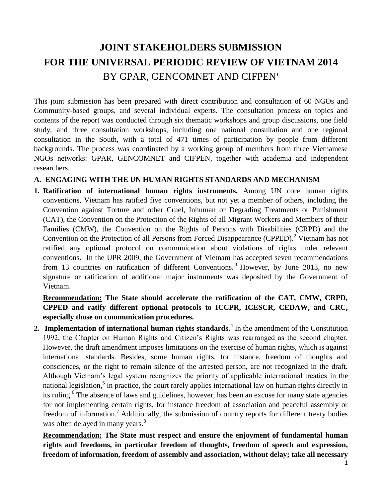# **JOINT STAKEHOLDERS SUBMISSION FOR THE UNIVERSAL PERIODIC REVIEW OF VIETNAM 2014** BY GPAR, GENCOMNET AND CIFPEN<sup>1</sup>

This joint submission has been prepared with direct contribution and consultation of 60 NGOs and Community-based groups, and several individual experts. The consultation process on topics and contents of the report was conducted through six thematic workshops and group discussions, one field study, and three consultation workshops, including one national consultation and one regional consultation in the South, with a total of 471 times of participation by people from different backgrounds. The process was coordinated by a working group of members from three Vietnamese NGOs networks: GPAR, GENCOMNET and CIFPEN, together with academia and independent researchers.

## **A. ENGAGING WITH THE UN HUMAN RIGHTS STANDARDS AND MECHANISM**

**1. Ratification of international human rights instruments.** Among UN core human rights conventions, Vietnam has ratified five conventions, but not yet a member of others, including the Convention against Torture and other Cruel, Inhuman or Degrading Treatments or Punishment (CAT), the Convention on the Protection of the Rights of all Migrant Workers and Members of their Families (CMW), the Convention on the Rights of Persons with Disabilities (CRPD) and the Convention on the Protection of all Persons from Forced Disappearance (CPPED).<sup>2</sup> Vietnam has not ratified any optional protocol on communication about violations of rights under relevant conventions. In the UPR 2009, the Government of Vietnam has accepted seven recommendations from 13 countries on ratification of different Conventions.<sup>3</sup> However, by June 2013, no new signature or ratification of additional major instruments was deposited by the Government of Vietnam.

**Recommendation: The State should accelerate the ratification of the CAT, CMW, CRPD, CPPED and ratify different optional protocols to ICCPR, ICESCR, CEDAW, and CRC, especially those on communication procedures.**

**2. Implementation of international human rights standards.**<sup>4</sup> In the amendment of the Constitution 1992, the Chapter on Human Rights and Citizen's Rights was rearranged as the second chapter. However, the draft amendment imposes limitations on the exercise of human rights, which is against international standards. Besides, some human rights, for instance, freedom of thoughts and consciences, or the right to remain silence of the arrested person, are not recognized in the draft. Although Vietnam's legal system recognizes the priority of applicable international treaties in the national legislation,<sup>5</sup> in practice, the court rarely applies international law on human rights directly in its ruling.<sup>6</sup> The absence of laws and guidelines, however, has been an excuse for many state agencies for not implementing certain rights, for instance freedom of association and peaceful assembly or freedom of information.<sup>7</sup> Additionally, the submission of country reports for different treaty bodies was often delayed in many years.<sup>8</sup>

**Recommendation: The State must respect and ensure the enjoyment of fundamental human rights and freedoms, in particular freedom of thoughts, freedom of speech and expression, freedom of information, freedom of assembly and association, without delay; take all necessary**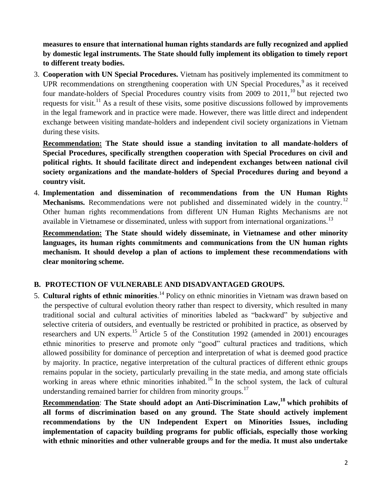**measures to ensure that international human rights standards are fully recognized and applied by domestic legal instruments. The State should fully implement its obligation to timely report to different treaty bodies.** 

3. **Cooperation with UN Special Procedures.** Vietnam has positively implemented its commitment to UPR recommendations on strengthening cooperation with UN Special Procedures,  $9$  as it received four mandate-holders of Special Procedures country visits from 2009 to 2011,<sup>10</sup> but rejected two requests for visit.<sup>11</sup> As a result of these visits, some positive discussions followed by improvements in the legal framework and in practice were made. However, there was little direct and independent exchange between visiting mandate-holders and independent civil society organizations in Vietnam during these visits.

**Recommendation: The State should issue a standing invitation to all mandate-holders of Special Procedures, specifically strengthen cooperation with Special Procedures on civil and political rights. It should facilitate direct and independent exchanges between national civil society organizations and the mandate-holders of Special Procedures during and beyond a country visit.** 

4. **Implementation and dissemination of recommendations from the UN Human Rights Mechanisms.** Recommendations were not published and disseminated widely in the country.<sup>12</sup> Other human rights recommendations from different UN Human Rights Mechanisms are not available in Vietnamese or disseminated, unless with support from international organizations.<sup>13</sup>

**Recommendation: The State should widely disseminate, in Vietnamese and other minority languages, its human rights commitments and communications from the UN human rights mechanism. It should develop a plan of actions to implement these recommendations with clear monitoring scheme.**

## **B. PROTECTION OF VULNERABLE AND DISADVANTAGED GROUPS.**

5. **Cultural rights of ethnic minorities**. <sup>14</sup> Policy on ethnic minorities in Vietnam was drawn based on the perspective of cultural evolution theory rather than respect to diversity, which resulted in many traditional social and cultural activities of minorities labeled as "backward" by subjective and selective criteria of outsiders, and eventually be restricted or prohibited in practice, as observed by researchers and UN experts.<sup>15</sup> Article 5 of the Constitution 1992 (amended in 2001) encourages ethnic minorities to preserve and promote only "good" cultural practices and traditions, which allowed possibility for dominance of perception and interpretation of what is deemed good practice by majority. In practice, negative interpretation of the cultural practices of different ethnic groups remains popular in the society, particularly prevailing in the state media, and among state officials working in areas where ethnic minorities inhabited.<sup>16</sup> In the school system, the lack of cultural understanding remained barrier for children from minority groups.<sup>17</sup>

**Recommendation**: **The State should adopt an Anti-Discrimination Law,<sup>18</sup> which prohibits of all forms of discrimination based on any ground. The State should actively implement recommendations by the UN Independent Expert on Minorities Issues, including implementation of capacity building programs for public officials, especially those working with ethnic minorities and other vulnerable groups and for the media. It must also undertake**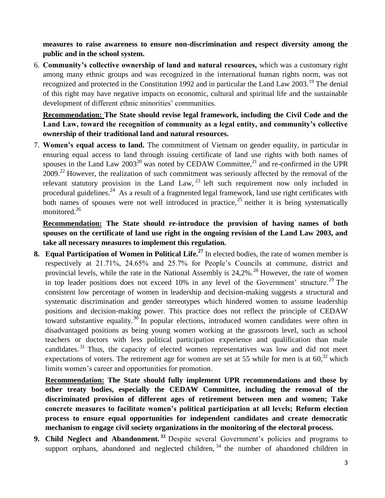**measures to raise awareness to ensure non-discrimination and respect diversity among the public and in the school system.**

6. **Community's collective ownership of land and natural resources,** which was a customary right among many ethnic groups and was recognized in the international human rights norm, was not recognized and protected in the Constitution 1992 and in particular the Land Law  $2003$ <sup>19</sup>. The denial of this right may have negative impacts on economic, cultural and spiritual life and the sustainable development of different ethnic minorities' communities.

**Recommendation: The State should revise legal framework, including the Civil Code and the Land Law, toward the recognition of community as a legal entity, and community's collective ownership of their traditional land and natural resources.**

7. **Women's equal access to land.** The commitment of Vietnam on gender equality, in particular in ensuring equal access to land through issuing certificate of land use rights with both names of spouses in the Land Law  $2003^{20}$  was noted by CEDAW Committee,  $2^{1}$  and re-confirmed in the UPR 2009.<sup>22</sup> However, the realization of such commitment was seriously affected by the removal of the relevant statutory provision in the Land Law,  $^{23}$  left such requirement now only included in procedural guidelines.<sup>24</sup> As a result of a fragmented legal framework, land use right certificates with both names of spouses were not well introduced in practice,  $2^5$  neither it is being systematically monitored.<sup>26</sup>

**Recommendation: The State should re-introduce the provision of having names of both spouses on the certificate of land use right in the ongoing revision of the Land Law 2003, and take all necessary measures to implement this regulation.**

**8. Equal Participation of Women in Political Life.<sup>27</sup>** In elected bodies, the rate of women member is respectively at 21.71%, 24.65% and 25.7% for People's Councils at commune, district and provincial levels, while the rate in the National Assembly is  $24,2\%$ .<sup>28</sup> However, the rate of women in top leader positions does not exceed  $10\%$  in any level of the Government' structure.<sup>29</sup> The consistent low percentage of women in leadership and decision-making suggests a structural and systematic discrimination and gender stereotypes which hindered women to assume leadership positions and decision-making power. This practice does not reflect the principle of CEDAW toward substantive equality.<sup>30</sup> In popular elections, introduced women candidates were often in disadvantaged positions as being young women working at the grassroots level, such as school teachers or doctors with less political participation experience and qualification than male candidates. <sup>31</sup> Thus, the capacity of elected women representatives was low and did not meet expectations of voters. The retirement age for women are set at 55 while for men is at  $60$ <sup>32</sup> which limits women's career and opportunities for promotion.

**Recommendation: The State should fully implement UPR recommendations and those by other treaty bodies, especially the CEDAW Committee, including the removal of the discriminated provision of different ages of retirement between men and women; Take concrete measures to facilitate women's political participation at all levels; Reform election process to ensure equal opportunities for independent candidates and create democratic mechanism to engage civil society organizations in the monitoring of the electoral process.** 

**9. Child Neglect and Abandonment. <sup>33</sup>** Despite several Government's policies and programs to support orphans, abandoned and neglected children,<sup>34</sup> the number of abandoned children in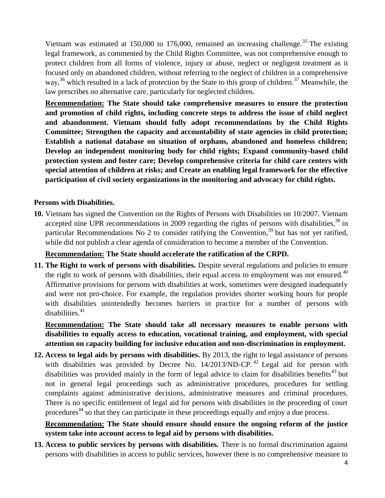Vietnam was estimated at 150,000 to 176,000, remained an increasing challenge.<sup>35</sup> The existing legal framework, as commented by the Child Rights Committee, was not comprehensive enough to protect children from all forms of violence, injury or abuse, neglect or negligent treatment as it focused only on abandoned children, without referring to the neglect of children in a comprehensive way,<sup>36</sup> which resulted in a lack of protection by the State to this group of children.<sup>37</sup> Meanwhile, the law prescribes no alternative care, particularly for neglected children.

**Recommendation: The State should take comprehensive measures to ensure the protection and promotion of child rights, including concrete steps to address the issue of child neglect and abandonment. Vietnam should fully adopt recommendations by the Child Rights Committee; Strengthen the capacity and accountability of state agencies in child protection; Establish a national database on situation of orphans, abandoned and homeless children; Develop an independent monitoring body for child rights; Expand community-based child protection system and foster care; Develop comprehensive criteria for child care centers with special attention of children at risks; and Create an enabling legal framework for the effective participation of civil society organizations in the monitoring and advocacy for child rights.**

## **Persons with Disabilities.**

**10.** Vietnam has signed the Convention on the Rights of Persons with Disabilities on 10/2007. Vietnam accepted nine UPR recommendations in 2009 regarding the rights of persons with disabilities,  $38 \text{ in}$ particular Recommendations No 2 to consider ratifying the Convention,  $39$  but has not yet ratified, while did not publish a clear agenda of consideration to become a member of the Convention.

#### **Recommendation: The State should accelerate the ratification of the CRPD.**

**11. The Right to work of persons with disabilities.** Despite several regulations and policies to ensure the right to work of persons with disabilities, their equal access to employment was not ensured. $40$ Affirmative provisions for persons with disabilities at work, sometimes were designed inadequately and were not pro-choice. For example, the regulation provides shorter working hours for people with disabilities unintendedly becomes barriers in practice for a number of persons with  $disabilities<sup>41</sup>$ 

**Recommendation: The State should take all necessary measures to enable persons with disabilities to equally access to education, vocational training, and employment, with special attention on capacity building for inclusive education and non-discrimination in employment.**

**12. Access to legal aids by persons with disabilities.** By 2013, the right to legal assistance of persons with disabilities was provided by Decree No.  $14/2013/ND$ -CP.<sup>42</sup> Legal aid for person with disabilities was provided mainly in the form of legal advice to claim for disabilities benefits<sup>43</sup> but not in general legal proceedings such as administrative procedures, procedures for settling complaints against administrative decisions, administrative measures and criminal procedures. There is no specific entitlement of legal aid for persons with disabilities in the proceeding of court procedures<sup>44</sup> so that they can participate in these proceedings equally and enjoy a due process.

**Recommendation: The State should ensure should ensure the ongoing reform of the justice system take into account access to legal aid by persons with disabilities.** 

**13. Access to public services by persons with disabilities.** There is no formal discrimination against persons with disabilities in access to public services, however there is no comprehensive measure to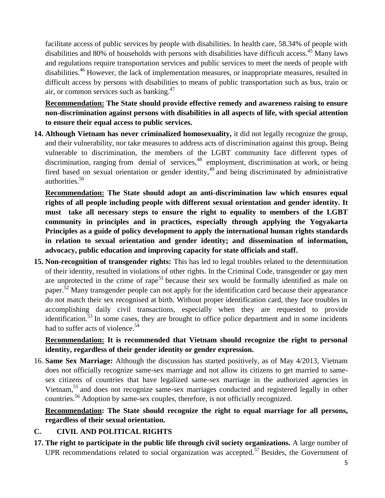facilitate access of public services by people with disabilities. In health care, 58.34% of people with disabilities and 80% of households with persons with disabilities have difficult access.<sup>45</sup> Many laws and regulations require transportation services and public services to meet the needs of people with disabilities.<sup>46</sup> However, the lack of implementation measures, or inappropriate measures, resulted in difficult access by persons with disabilities to means of public transportation such as bus, train or air, or common services such as banking.<sup>47</sup>

**Recommendation: The State should provide effective remedy and awareness raising to ensure non-discrimination against persons with disabilities in all aspects of life, with special attention to ensure their equal access to public services.**

**14. Although Vietnam has never criminalized homosexuality,** it did not legally recognize the group, and their vulnerability, nor take measures to address acts of discrimination against this group**.** Being vulnerable to discrimination, the members of the LGBT community face different types of discrimination, ranging from denial of services,<sup>48</sup> employment, discrimination at work, or being fired based on sexual orientation or gender identity,<sup>49</sup> and being discriminated by administrative authorities.<sup>50</sup>

**Recommendation: The State should adopt an anti-discrimination law which ensures equal rights of all people including people with different sexual orientation and gender identity. It must take all necessary steps to ensure the right to equality to members of the LGBT community in principles and in practices, especially through applying the Yogyakarta Principles as a guide of policy development to apply the international human rights standards in relation to sexual orientation and gender identity; and dissemination of information, advocacy, public education and improving capacity for state officials and staff.**

**15. Non-recognition of transgender rights:** This has led to legal troubles related to the determination of their identity, resulted in violations of other rights. In the Criminal Code, transgender or gay men are unprotected in the crime of rape<sup>51</sup> because their sex would be formally identified as male on paper.<sup>52</sup> Many transgender people can not apply for the identification card because their appearance do not match their sex recognised at birth. Without proper identification card, they face troubles in accomplishing daily civil transactions, especially when they are requested to provide identification.<sup>53</sup> In some cases, they are brought to office police department and in some incidents had to suffer acts of violence.<sup>54</sup>

# **Recommendation: It is recommended that Vietnam should recognize the right to personal identity, regardless of their gender identity or gender expression.**

16. **Same Sex Marriage:** Although the discussion has started positively, as of May 4/2013, Vietnam does not officially recognize same-sex marriage and not allow its citizens to get married to samesex citizens of countries that have legalized same-sex marriage in the authorized agencies in Vietnam,<sup>55</sup> and does not recognize same-sex marriages conducted and registered legally in other countries.<sup>56</sup> Adoption by same-sex couples, therefore, is not officially recognized.

**Recommendation: The State should recognize the right to equal marriage for all persons, regardless of their sexual orientation.**

# **C. CIVIL AND POLITICAL RIGHTS**

**17. The right to participate in the public life through civil society organizations.** A large number of UPR recommendations related to social organization was accepted.<sup>57</sup> Besides, the Government of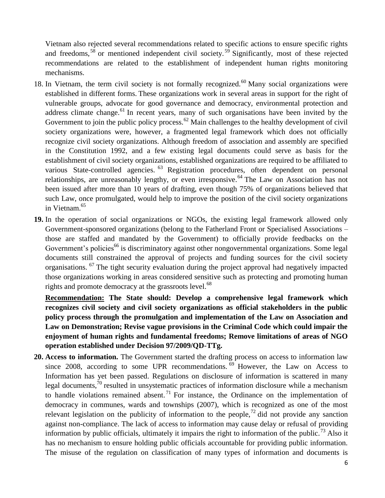Vietnam also rejected several recommendations related to specific actions to ensure specific rights and freedoms,  $58$  or mentioned independent civil society.  $59$  Significantly, most of these rejected recommendations are related to the establishment of independent human rights monitoring mechanisms.

- 18. In Vietnam, the term civil society is not formally recognized.<sup>60</sup> Many social organizations were established in different forms. These organizations work in several areas in support for the right of vulnerable groups, advocate for good governance and democracy, environmental protection and address climate change.<sup>61</sup> In recent years, many of such organisations have been invited by the Government to join the public policy process.<sup>62</sup> Main challenges to the healthy development of civil society organizations were, however, a fragmented legal framework which does not officially recognize civil society organizations. Although freedom of association and assembly are specified in the Constitution 1992, and a few existing legal documents could serve as basis for the establishment of civil society organizations, established organizations are required to be affiliated to various State-controlled agencies. <sup>63</sup> Registration procedures, often dependent on personal relationships, are unreasonably lengthy, or even irresponsive.<sup>64</sup> The Law on Association has not been issued after more than 10 years of drafting, even though 75% of organizations believed that such Law, once promulgated, would help to improve the position of the civil society organizations in Vietnam.<sup>65</sup>
- **19.** In the operation of social organizations or NGOs, the existing legal framework allowed only Government-sponsored organizations (belong to the Fatherland Front or Specialised Associations – those are staffed and mandated by the Government) to officially provide feedbacks on the Government's policies<sup>66</sup> is discriminatory against other nongovernmental organizations. Some legal documents still constrained the approval of projects and funding sources for the civil society organisations. <sup>67</sup> The tight security evaluation during the project approval had negatively impacted those organizations working in areas considered sensitive such as protecting and promoting human rights and promote democracy at the grassroots level.<sup>68</sup>

**Recommendation: The State should: Develop a comprehensive legal framework which recognizes civil society and civil society organizations as official stakeholders in the public policy process through the promulgation and implementation of the Law on Association and Law on Demonstration; Revise vague provisions in the Criminal Code which could impair the enjoyment of human rights and fundamental freedoms; Remove limitations of areas of NGO operation established under Decision 97/2009/QD-TTg.** 

**20. Access to information.** The Government started the drafting process on access to information law since 2008, according to some UPR recommendations.  $\frac{69}{6}$  However, the Law on Access to Information has yet been passed. Regulations on disclosure of information is scattered in many legal documents, $\bar{10}$  resulted in unsystematic practices of information disclosure while a mechanism to handle violations remained absent.<sup>71</sup> For instance, the Ordinance on the implementation of democracy in communes, wards and townships (2007), which is recognized as one of the most relevant legislation on the publicity of information to the people,<sup>72</sup> did not provide any sanction against non-compliance. The lack of access to information may cause delay or refusal of providing information by public officials, ultimately it impairs the right to information of the public.<sup>73</sup> Also it has no mechanism to ensure holding public officials accountable for providing public information. The misuse of the regulation on classification of many types of information and documents is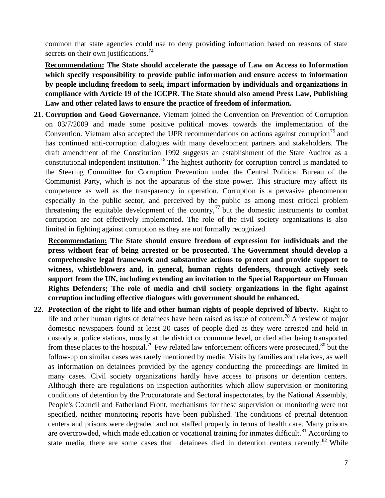common that state agencies could use to deny providing information based on reasons of state secrets on their own justifications.<sup>74</sup>

**Recommendation: The State should accelerate the passage of Law on Access to Information which specify responsibility to provide public information and ensure access to information by people including freedom to seek, impart information by individuals and organizations in compliance with Article 19 of the ICCPR. The State should also amend Press Law, Publishing Law and other related laws to ensure the practice of freedom of information.**

**21. Corruption and Good Governance.** Vietnam joined the Convention on Prevention of Corruption on 03/7/2009 and made some positive political moves towards the implementation of the Convention. Vietnam also accepted the UPR recommendations on actions against corruption<sup>75</sup> and has continued anti-corruption dialogues with many development partners and stakeholders. The draft amendment of the Constitution 1992 suggests an establishment of the State Auditor as a constitutional independent institution.<sup>76</sup> The highest authority for corruption control is mandated to the Steering Committee for Corruption Prevention under the Central Political Bureau of the Communist Party, which is not the apparatus of the state power. This structure may affect its competence as well as the transparency in operation. Corruption is a pervasive phenomenon especially in the public sector, and perceived by the public as among most critical problem threatening the equitable development of the country,  $\frac{7}{7}$  but the domestic instruments to combat corruption are not effectively implemented. The role of the civil society organizations is also limited in fighting against corruption as they are not formally recognized.

**Recommendation: The State should ensure freedom of expression for individuals and the press without fear of being arrested or be prosecuted. The Government should develop a comprehensive legal framework and substantive actions to protect and provide support to witness, whistleblowers and, in general, human rights defenders, through actively seek support from the UN, including extending an invitation to the Special Rapporteur on Human Rights Defenders; The role of media and civil society organizations in the fight against corruption including effective dialogues with government should be enhanced.**

**22. Protection of the right to life and other human rights of people deprived of liberty.** Right to life and other human rights of detainees have been raised as issue of concern.<sup>78</sup> A review of major domestic newspapers found at least 20 cases of people died as they were arrested and held in custody at police stations, mostly at the district or commune level, or died after being transported from these places to the hospital.<sup>79</sup> Few related law enforcement officers were prosecuted.<sup>80</sup> but the follow-up on similar cases was rarely mentioned by media. Visits by families and relatives, as well as information on detainees provided by the agency conducting the proceedings are limited in many cases. Civil society organizations hardly have access to prisons or detention centers. Although there are regulations on inspection authorities which allow supervision or monitoring conditions of detention by the Procuratorate and Sectoral inspectorates, by the National Assembly, People's Council and Fatherland Front, mechanisms for these supervision or monitoring were not specified, neither monitoring reports have been published. The conditions of pretrial detention centers and prisons were degraded and not staffed properly in terms of health care. Many prisons are overcrowded, which made education or vocational training for inmates difficult.<sup>81</sup> According to state media, there are some cases that detainees died in detention centers recently. <sup>82</sup> While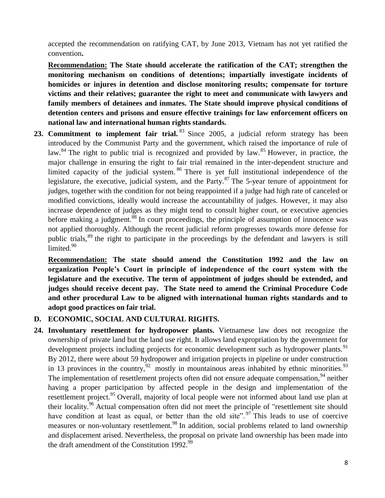accepted the recommendation on ratifying CAT, by June 2013, Vietnam has not yet ratified the convention**.** 

**Recommendation: The State should accelerate the ratification of the CAT; strengthen the monitoring mechanism on conditions of detentions; impartially investigate incidents of homicides or injures in detention and disclose monitoring results; compensate for torture victims and their relatives; guarantee the right to meet and communicate with lawyers and family members of detainees and inmates. The State should improve physical conditions of detention centers and prisons and ensure effective trainings for law enforcement officers on national law and international human rights standards.**

23. Commitment to implement fair trial.<sup>83</sup> Since 2005, a judicial reform strategy has been introduced by the Communist Party and the government, which raised the importance of rule of law.<sup>84</sup> The right to public trial is recognized and provided by law.<sup>85</sup> However, in practice, the major challenge in ensuring the right to fair trial remained in the inter-dependent structure and limited capacity of the judicial system. <sup>86</sup> There is yet full institutional independence of the legislature, the executive, judicial system, and the Party.<sup>87</sup> The 5-year tenure of appointment for judges, together with the condition for not being reappointed if a judge had high rate of canceled or modified convictions, ideally would increase the accountability of judges. However, it may also increase dependence of judges as they might tend to consult higher court, or executive agencies before making a judgment.<sup>88</sup> In court proceedings, the principle of assumption of innocence was not applied thoroughly. Although the recent judicial reform progresses towards more defense for public trials,<sup>89</sup> the right to participate in the proceedings by the defendant and lawyers is still limited.<sup>90</sup>

**Recommendation: The state should amend the Constitution 1992 and the law on organization People's Court in principle of independence of the court system with the legislature and the executive. The term of appointment of judges should be extended, and judges should receive decent pay. The State need to amend the Criminal Procedure Code and other procedural Law to be aligned with international human rights standards and to adopt good practices on fair trial.**

## **D. ECONOMIC, SOCIAL AND CULTURAL RIGHTS.**

**24. Involuntary resettlement for hydropower plants.** Vietnamese law does not recognize the ownership of private land but the land use right. It allows land expropriation by the government for development projects including projects for economic development such as hydropower plants.<sup>91</sup> By 2012, there were about 59 hydropower and irrigation projects in pipeline or under construction in 13 provinces in the country,  $92$  mostly in mountainous areas inhabited by ethnic minorities.  $93$ The implementation of resettlement projects often did not ensure adequate compensation.<sup>94</sup> neither having a proper participation by affected people in the design and implementation of the resettlement project.<sup>95</sup> Overall, majority of local people were not informed about land use plan at their locality.<sup>96</sup> Actual compensation often did not meet the principle of "resettlement site should have condition at least as equal, or better than the old site". <sup>97</sup> This leads to use of coercive measures or non-voluntary resettlement.<sup>98</sup> In addition, social problems related to land ownership and displacement arised. Nevertheless, the proposal on private land ownership has been made into the draft amendment of the Constitution 1992. $99$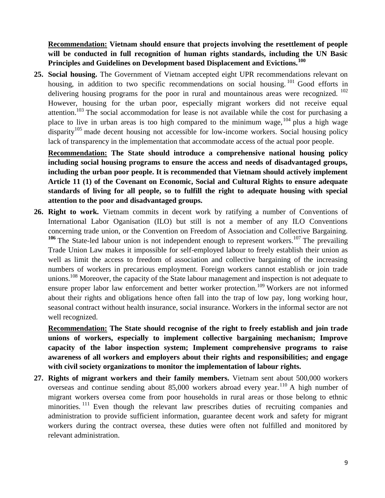**Recommendation: Vietnam should ensure that projects involving the resettlement of people will be conducted in full recognition of human rights standards, including the UN Basic Principles and Guidelines on Development based Displacement and Evictions.<sup>100</sup>**

**25. Social housing.** The Government of Vietnam accepted eight UPR recommendations relevant on housing, in addition to two specific recommendations on social housing.<sup>101</sup> Good efforts in delivering housing programs for the poor in rural and mountainous areas were recognized.  $102$ However, housing for the urban poor, especially migrant workers did not receive equal attention.<sup>103</sup> The social accommodation for lease is not available while the cost for purchasing a place to live in urban areas is too high compared to the minimum wage,  $104$  plus a high wage disparity<sup>105</sup> made decent housing not accessible for low-income workers. Social housing policy lack of transparency in the implementation that accommodate access of the actual poor people.

**Recommendation: The State should introduce a comprehensive national housing policy including social housing programs to ensure the access and needs of disadvantaged groups, including the urban poor people. It is recommended that Vietnam should actively implement Article 11 (1) of the Covenant on Economic, Social and Cultural Rights to ensure adequate standards of living for all people, so to fulfill the right to adequate housing with special attention to the poor and disadvantaged groups.** 

**26. Right to work.** Vietnam commits in decent work by ratifying a number of Conventions of International Labor Oganisation (ILO) but still is not a member of any ILO Conventions concerning trade union, or the Convention on Freedom of Association and Collective Bargaining. <sup>106</sup> The State-led labour union is not independent enough to represent workers.<sup>107</sup> The prevailing Trade Union Law makes it impossible for self-employed labour to freely establish their union as well as limit the access to freedom of association and collective bargaining of the increasing numbers of workers in precarious employment. Foreign workers cannot establish or join trade unions.<sup>108</sup> Moreover, the capacity of the State labour management and inspection is not adequate to ensure proper labor law enforcement and better worker protection.<sup>109</sup> Workers are not informed about their rights and obligations hence often fall into the trap of low pay, long working hour, seasonal contract without health insurance, social insurance. Workers in the informal sector are not well recognized.

**Recommendation: The State should recognise of the right to freely establish and join trade unions of workers, especially to implement collective bargaining mechanism; Improve capacity of the labor inspection system; Implement comprehensive programs to raise awareness of all workers and employers about their rights and responsibilities; and engage with civil society organizations to monitor the implementation of labour rights.**

**27. Rights of migrant workers and their family members.** Vietnam sent about 500,000 workers overseas and continue sending about  $85,000$  workers abroad every year.<sup>110</sup> A high number of migrant workers oversea come from poor households in rural areas or those belong to ethnic minorities.<sup>111</sup> Even though the relevant law prescribes duties of recruiting companies and administration to provide sufficient information, guarantee decent work and safety for migrant workers during the contract oversea, these duties were often not fulfilled and monitored by relevant administration.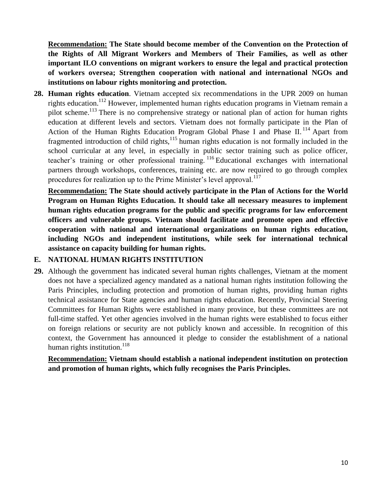**Recommendation: The State should become member of the Convention on the Protection of the Rights of All Migrant Workers and Members of Their Families, as well as other important ILO conventions on migrant workers to ensure the legal and practical protection of workers oversea; Strengthen cooperation with national and international NGOs and institutions on labour rights monitoring and protection.**

**28. Human rights education**. Vietnam accepted six recommendations in the UPR 2009 on human rights education.<sup>112</sup> However, implemented human rights education programs in Vietnam remain a pilot scheme.<sup>113</sup> There is no comprehensive strategy or national plan of action for human rights education at different levels and sectors. Vietnam does not formally participate in the Plan of Action of the Human Rights Education Program Global Phase I and Phase II.<sup>114</sup> Apart from fragmented introduction of child rights, $115$  human rights education is not formally included in the school curricular at any level, in especially in public sector training such as police officer, teacher's training or other professional training. <sup>116</sup> Educational exchanges with international partners through workshops, conferences, training etc. are now required to go through complex procedures for realization up to the Prime Minister's level approval.<sup>117</sup>

**Recommendation: The State should actively participate in the Plan of Actions for the World Program on Human Rights Education. It should take all necessary measures to implement human rights education programs for the public and specific programs for law enforcement officers and vulnerable groups. Vietnam should facilitate and promote open and effective cooperation with national and international organizations on human rights education, including NGOs and independent institutions, while seek for international technical assistance on capacity building for human rights.**

## **E. NATIONAL HUMAN RIGHTS INSTITUTION**

**29.** Although the government has indicated several human rights challenges, Vietnam at the moment does not have a specialized agency mandated as a national human rights institution following the Paris Principles, including protection and promotion of human rights, providing human rights technical assistance for State agencies and human rights education. Recently, Provincial Steering Committees for Human Rights were established in many province, but these committees are not full-time staffed. Yet other agencies involved in the human rights were established to focus either on foreign relations or security are not publicly known and accessible. In recognition of this context, the Government has announced it pledge to consider the establishment of a national human rights institution.<sup>118</sup>

**Recommendation: Vietnam should establish a national independent institution on protection and promotion of human rights, which fully recognises the Paris Principles.**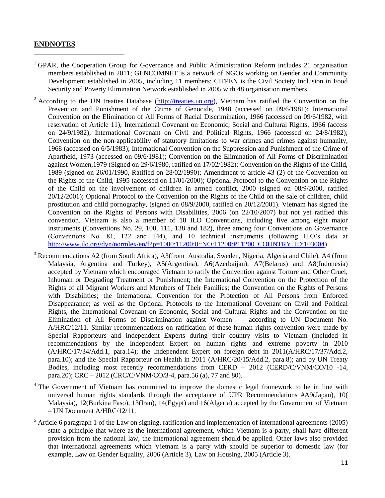## **ENDNOTES**

- <sup>1</sup> GPAR, the Cooperation Group for Governance and Public Administration Reform includes 21 organisation members established in 2011; GENCOMNET is a network of NGOs working on Gender and Community Development established in 2005, including 11 members; CIFPEN is the Civil Society Inclusion in Food Security and Poverty Elimination Network established in 2005 with 48 organisation members.
- <sup>2</sup> According to the UN treaties Database ( $\frac{http://treaties.un.org)}{http://treaties.un.org)}$ , Vietnam has ratified the Convention on the Prevention and Punishment of the Crime of Genocide, 1948 (accessed on 09/6/1981); International Convention on the Elimination of All Forms of Racial Discrimination, 1966 (accessed on 09/6/1982, with reservation of Article 11); International Covenant on Economic, Social and Cultural Rights, 1966 (access on 24/9/1982); International Covenant on Civil and Political Rights, 1966 (accessed on 24/8/1982); Convention on the non-applicability of statutory limitations to war crimes and crimes against humanity, 1968 (accessed on 6/5/1983); International Convention on the Suppression and Punishment of the Crime of Apartheid, 1973 (accessed on 09/6/1981); Convention on the Elimination of All Forms of Discrimination against Women,1979 (Signed on 29/6/1980, ratified on 17/02/1982); Convention on the Rights of the Child, 1989 (signed on 26/01/1990, Ratified on 28/02/1990); Amendment to article 43 (2) of the Convention on the Rights of the Child, 1995 (accessed on 11/01/2000); Optional Protocol to the Convention on the Rights of the Child on the involvement of children in armed conflict, 2000 (signed on 08/9/2000, ratified 20/12/2001); [Optional Protocol to the Convention on the Rights of the Child on the sale of children, child](http://treaties.un.org/Pages/ViewDetails.aspx?src=TREATY&mtdsg_no=IV-11-c&chapter=4&lang=en)  [prostitution and child pornography, \(](http://treaties.un.org/Pages/ViewDetails.aspx?src=TREATY&mtdsg_no=IV-11-c&chapter=4&lang=en)signed on 08/9/2000, ratified on 20/12/2001). Vietnam has signed the [Convention on the Rights of Persons with Disabilities, 2006](http://treaties.un.org/Pages/ViewDetails.aspx?src=TREATY&mtdsg_no=IV-15&chapter=4&lang=en) (on 22/10/2007) but not yet ratified this convention. Vietnam is also a member of 18 ILO Conventions, including five among eight major instruments (Conventions No. 29, 100, 111, 138 and 182), three among four Conventions on Governance (Conventions No. 81, 122 and 144), and 10 technical instruments (following ILO's data at [http://www.ilo.org/dyn/normlex/en/f?p=1000:11200:0::NO:11200:P11200\\_COUNTRY\\_ID:103004\)](http://www.ilo.org/dyn/normlex/en/f?p=1000:11200:0::NO:11200:P11200_COUNTRY_ID:103004)
- <sup>3</sup> Recommendations A2 (from South Africa), A3(from Australia, Sweden, Nigeria, Algeria and Chile), A4 (from Malaysia, Argentina and Turkey), A5(Argentina), A6(Azerbaijan), A7(Belarus) and A8(Indonesia) accepted by Vietnam which encouraged Vietnam to ratify the Convention against Torture and Other Cruel, Inhuman or Degrading Treatment or Punishment; the International Convention on the Protection of the Rights of all Migrant Workers and Members of Their Families; the Convention on the Rights of Persons with Disabilities; the International Convention for the Protection of All Persons from Enforced Disappearance; as well as the Optional Protocols to the International Covenant on Civil and Political Rights, the International Covenant on Economic, Social and Cultural Rights and the Convention on the Elimination of All Forms of Discrimination against Women – according to UN Document No. A/HRC/12/11. Similar recommendations on ratification of these human rights convention were made by Special Rapporteurs and Independent Experts during their country visits to Vietnam (included in recommendations by the Independent Expert on human rights and extreme poverty in 2010 (A/HRC/17/34/Add.1, para.14); the Independent Expert on foreign debt in 2011(A/HRC/17/37/Add.2, para.10); and the Special Rapporteur on Health in 2011 (A/HRC/20/15/Add.2, para.8); and by UN Treaty Bodies, including most recently recommendations from CERD – 2012 (CERD/C/VNM/CO/10 -14, para.20); CRC – 2012 (CRC/C/VNM/CO/3-4, para.56 (a), 77 and 80).
- <sup>4</sup> The Government of Vietnam has committed to improve the domestic legal framework to be in line with universal human rights standards through the acceptance of UPR Recommendations #A9(Japan), 10( Malaysia), 12(Burkina Faso), 13(Iran), 14(Egypt) and 16(Algeria) accepted by the Government of Vietnam – UN Document A/HRC/12/11.
- $<sup>5</sup>$  Article 6 paragraph 1 of the Law on signing, ratification and implementation of international agreements (2005)</sup> state a principle that where as the international agreement, which Vietnam is a party, shall have different provision from the national law, the international agreement should be applied. Other laws also provided that international agreements which Vietnam is a party with should be superior to domestic law (for example, Law on Gender Equality, 2006 (Article 3), Law on Housing, 2005 (Article 3).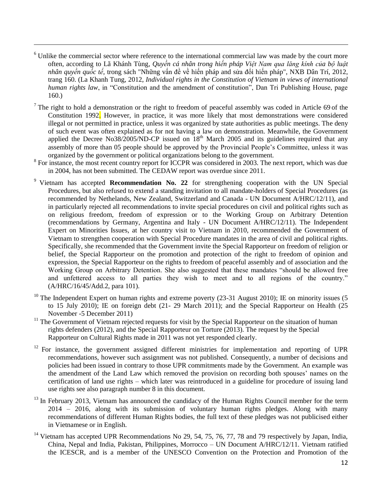<sup>6</sup> Unlike the commercial sector where reference to the international commercial law was made by the court more often, according to Lã Khánh Tùng*, Quyền cá nhân trong hiến pháp Việt Nam qua lăng kính của bộ luật nhân quyền quốc tế,* trong sách "Những vấn đề về hiến pháp and sửa đổi hiến pháp", NXB Dân Trí, 2012, trang 160. (La Khanh Tung, 2012, *Individual rights in the Constitution of Vietnam in views of international human rights law*, in "Constitution and the amendment of constitution", Dan Tri Publishing House, page 160.)

- $<sup>7</sup>$  The right to hold a demonstration or the right to freedom of peaceful assembly was coded in Article 69 of the</sup> Constitution 1992. However, in practice, it was more likely that most demonstrations were considered illegal or not permitted in practice, unless it was organized by state authorities as public meetings. The deny of such event was often explained as for not having a law on demonstration. Meanwhile, the Government applied the Decree No38/2005/ND-CP issued on  $18<sup>th</sup>$  March 2005 and its guidelines required that any assembly of more than 05 people should be approved by the Provincial People's Committee, unless it was organized by the government or political organizations belong to the government.
- <sup>8</sup> For instance, the most recent country report for ICCPR was considered in 2003. The next report, which was due in 2004, has not been submitted. The CEDAW report was overdue since 2011.
- <sup>9</sup> Vietnam has accepted **Recommendation No. 22** for strengthening cooperation with the UN Special Procedures, but also refused to extend a standing invitation to all mandate-holders of Special Procedures (as recommended by Nethelands, New Zealand, Switzerland and Canada - UN Document A/HRC/12/11), and in particularly rejected all recommendations to invite special procedures on civil and political rights such as on religious freedom, freedom of expression or to the Working Group on Arbitrary Detention (recommendations by Germany, Argentina and Italy - UN Document A/HRC/12/11). The Independent Expert on Minorities Issues, at her country visit to Vietnam in 2010, recommended the Government of Vietnam to strengthen cooperation with Special Procedure mandates in the area of civil and political rights. Specifically, she recommended that the Government invite the Special Rapporteur on freedom of religion or belief, the Special Rapporteur on the promotion and protection of the right to freedom of opinion and expression, the Special Rapporteur on the rights to freedom of peaceful assembly and of association and the Working Group on Arbitrary Detention. She also suggested that these mandates "should be allowed free and unfettered access to all parties they wish to meet and to all regions of the country." (A/HRC/16/45/Add.2, para 101).
- <sup>10</sup> The Independent Expert on human rights and extreme poverty (23-31 August 2010); IE on minority issues (5 to 15 July 2010); IE on foreign debt (21- 29 March 2011); and the Special Rapporteur on Health (25 November -5 December 2011)
- $11$  The Government of Vietnam rejected requests for visit by the Special Rapporteur on the situation of human rights defenders (2012), and the Special Rapporteur on Torture (2013). The request by the Special Rapporteur on Cultural Rights made in 2011 was not yet responded clearly.
- <sup>12</sup> For instance, the government assigned different ministries for implementation and reporting of UPR recommendations, however such assignment was not published. Consequently, a number of decisions and policies had been issued in contrary to those UPR commitments made by the Government. An example was the amendment of the Land Law which removed the provision on recording both spouses' names on the certification of land use rights – which later was reintroduced in a guideline for procedure of issuing land use rights see also paragraph number 8 in this document.
- $13$  In February 2013, Vietnam has announced the candidacy of the Human Rights Council member for the term 2014 – 2016, along with its submission of voluntary human rights pledges. Along with many recommendations of different Human Rights bodies, the full text of these pledges was not publicised either in Vietnamese or in English.
- <sup>14</sup> Vietnam has accepted UPR Recommendations No 29, 54, 75, 76, 77, 78 and 79 respectively by Japan, India, China, Nepal and India, Pakistan, Philippines, Morrocco – UN Document A/HRC/12/11. Vietnam ratified the ICESCR, and is a member of the UNESCO Convention on the Protection and Promotion of the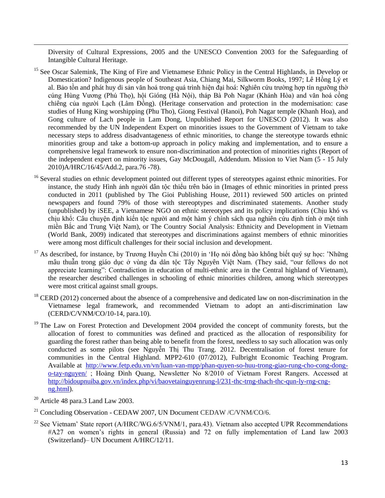Diversity of Cultural Expressions, 2005 and the UNESCO Convention 2003 for the Safeguarding of Intangible Cultural Heritage.

- <sup>15</sup> See Oscar Salemink, The King of Fire and Vietnamese Ethnic Policy in the Central Highlands, in Develop or Domestication? Indigenous people of Southeast Asia, Chiang Mai, Silkworm Books, 1997; Lê Hồng Lý et al. Bảo tồn and phát huy di sản văn hoá trong quá trình hiện đại hoá: Nghiên cứu trường hợp tín ngưỡng thờ cúng Hùng Vương (Phú Thọ), hội Gióng (Hà Nội), tháp Bà Poh Nagar (Khánh Hòa) and văn hoá cồng chiêng của người Lạch (Lâm Đồng). (Heritage conservation and protection in the modernisation: case studies of Hung King worshipping (Phu Tho), Giong Festival (Hanoi), Poh Nagar temple (Khanh Hoa), and Gong culture of Lach people in Lam Dong, Unpublished Report for UNESCO (2012). It was also recommended by the UN Independent Expert on minorities issues to the Government of Vietnam to take necessary steps to address disadvantageness of ethnic minorities, to change the stereotype towards ethnic minorities group and take a bottom-up approach in policy making and implementation, and to ensure a comprehensive legal framework to ensure non-discrimination and protection of minorities rights (Report of the independent expert on minority issues, Gay McDougall, Addendum. Mission to Viet Nam (5 - 15 July 2010)A/HRC/16/45/Add.2, para.76 -78).
- <sup>16</sup> Several studies on ethnic development pointed out different types of stereotypes against ethnic minorities. For instance, the study Hình ảnh người dân tộc thiểu trên báo in (Images of ethnic minorities in printed press conducted in 2011 (published by The Gioi Publishing House, 2011) reviewed 500 articles on printed newspapers and found 79% of those with stereoptypes and discriminated statements. Another study (unpublished) by iSEE, a Vietnamese NGO on ethnic stereotypes and its policy implications (Chịu khó vs chịu khổ: Câu chuyện định kiến tộc người and một hàm ý chính sách qua nghiên cứu định tính ở một tỉnh miền Bắc and Trung Việt Nam), or The Country Social Analysis: Ethnicity and Development in Vietnam (World Bank, 2009) indicated that stereotypes and discriminations against members of ethnic minorities were among most difficult challenges for their social inclusion and development.
- <sup>17</sup> As described, for instance, by Trương Huyền Chi (2010) in 'Họ nói đồng bào không biết quý sự học: 'Những mâu thuẫn trong giáo dục ở vùng đa dân tộc Tây Nguyên Việt Nam. (They said, "our fellows do not appreciate learning": Contradiction in education of multi-ethnic area in the Central highland of Vietnam), the researcher described challenges in schooling of ethnic minorities children, among which stereotypes were most critical against small groups.
- $^{18}$  CERD (2012) concerned about the absence of a comprehensive and dedicated law on non-discrimination in the Vietnamese legal framework, and recommended Vietnam to adopt an anti-discrimination law (CERD/C/VNM/CO/10-14, para.10).
- <sup>19</sup> The Law on Forest Protection and Development 2004 provided the concept of community forests, but the allocation of forest to communities was defined and practiced as the allocation of responsibility for guarding the forest rather than being able to benefit from the forest, needless to say such allocation was only conducted as some pilots (see Nguyễn Thị Thu Trang. 2012. Decentralisation of forest tenure for communities in the Central Highland. MPP2-610 (07/2012), Fulbright Economic Teaching Program. Available at [http://www.fetp.edu.vn/vn/luan-van-mpp/phan-quyen-so-huu-trong-giao-rung-cho-cong-dong](http://www.fetp.edu.vn/vn/luan-van-mpp/phan-quyen-so-huu-trong-giao-rung-cho-cong-dong-o-tay-nguyen/)[o-tay-nguyen/](http://www.fetp.edu.vn/vn/luan-van-mpp/phan-quyen-so-huu-trong-giao-rung-cho-cong-dong-o-tay-nguyen/) ; Hoàng Đình Quang, Newsletter No 8/2010 of Vietnam Forest Rangers. Accessed at [http://bidoupnuiba.gov.vn/index.php/vi/baovetainguyenrung-l/231-thc-trng-thach-thc-qun-ly-rng-cng](http://bidoupnuiba.gov.vn/index.php/vi/baovetainguyenrung-l/231-thc-trng-thach-thc-qun-ly-rng-cng-ng.html)[ng.html\)](http://bidoupnuiba.gov.vn/index.php/vi/baovetainguyenrung-l/231-thc-trng-thach-thc-qun-ly-rng-cng-ng.html).
- $20$  Article 48 para.3 Land Law 2003.

- <sup>21</sup> Concluding Observation CEDAW 2007, UN Document CEDAW /C/VNM/CO/6.
- <sup>22</sup> See Vietnam' State report (A/HRC/WG.6/5/VNM/1, para.43). Vietnam also accepted UPR Recommendations #A27 on women's rights in general (Russia) and 72 on fully implementation of Land law 2003 (Switzerland)– UN Document A/HRC/12/11.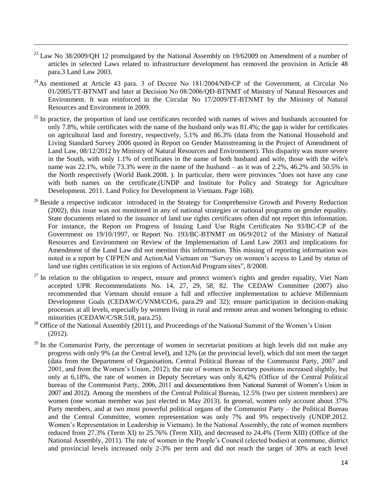$^{23}$  Law No 38/2009/QH 12 promulgated by the National Assembly on 19/62009 on Amendment of a number of articles in selected Laws related to infrastructure development has removed the provision in Article 48 para.3 Land Law 2003.

- $^{24}$ As mentioned at Article 43 para. 3 of Decree No 181/2004/NĐ-CP of the Government, at Circular No 01/2005/TT-BTNMT and later at Decision No 08/2006/QĐ-BTNMT of Ministry of Natural Resources and Environment. It was reinforced in the Circular No 17/2009/TT-BTNMT by the Ministry of Natural Resources and Environment in 2009.
- $^{25}$  In practice, the proportion of land use certificates recorded with names of wives and husbands accounted for only 7.8%, while certificates with the name of the husband only was 81.4%; the gap is wider for certificates on agricultural land and forestry, respectively, 5.1% and 86.3% (data from the National Household and Living Standard Survey 2006 quoted in Report on Gender Mainstreaming in the Project of Amendment of Land Law, 08/12/2012 by Ministry of Natural Resources and Environment). This disparity was more severe in the South, with only 1.1% of certificates in the name of both husband and wife, those with the wife's name was 22.1%, while 73.3% were in the name of the husband – as it was of 2.2%, 46.2% and 50.5% in the North respectively (World Bank.2008. ). In particular, there were provinces "does not have any case with both names on the certificate.(UNDP and Institute for Policy and Strategy for Agriculture Development. 2011. Land Policy for Development in Vietnam. Page 168).
- <sup>26</sup> Beside a respective indicator introduced in the Strategy for Comprehensive Growth and Poverty Reduction (2002), this issue was not monitored in any of national strategies or national programs on gender equality. State documents related to the issuance of land use rights certificates often did not report this information. For instance, the Report on Progress of Issuing Land Use Right Certificates No 93/BC-CP of the Government on 19/10/1997, or Report No. 193/BC-BTNMT on 06/9/2012 of the Ministry of Natural Resources and Environment on Review of the Implementation of Land Law 2003 and implications for Amendment of the Land Law did not mention this information. This missing of reporting information was noted in a report by CIFPEN and ActionAid Vietnam on "Survey on women's access to Land by status of land use rights certification in six regions of ActionAid Program sites", 8/2008.
- $^{27}$  In relation to the obligation to respect, ensure and protect women's rights and gender equality, Viet Nam accepted UPR Recommendations No. 14, 27, 29, 58, 82. The CEDAW Committee (2007) also recommended that Vietnam should ensure a full and effective implementation to achieve Millennium Development Goals (CEDAW/C/VNM/CO/6, para.29 and 32); ensure participation in decision-making processes at all levels, especially by women living in rural and remote areas and women belonging to ethnic minorities (CEDAW/C/SR.518, para.25).
- <sup>28</sup> Office of the National Assembly (2011), and Proceedings of the National Summit of the Women's Union (2012).
- $^{29}$  In the Communist Party, the percentage of women in secretariat positions at high levels did not make any progress with only 9% (at the Central level), and 12% (at the provincial level), which did not meet the target (data from the Department of Organisation, Central Political Bureau of the Communist Party, 2007 and 2001, and from the Women's Union, 2012); the rate of women in Secretary positions increased slightly, but only at 6,18%, the rate of women in Deputy Secretary was only 8,42% (Office of the Central Political bureau of the Communist Party, 2006, 2011 and documentations from National Summit of Women's Union in 2007 and 2012). Among the members of the Central Political Bureau, 12.5% (two per sixteen members) are women (one woman member was just elected in May 2013). In general, women only account about 37% Party members, and at two most powerful political organs of the Communist Party – the Political Bureau and the Central Committee, women representation was only 7% and 9% respectively (UNDP.2012. Women's Representation in Leadership in Vietnam). In the National Assembly, the rate of women members reduced from 27.3% (Term XI) to 25.76% (Term XII), and decreased to 24.4% (Term XIII) (Office of the National Assembly, 2011). The rate of women in the People's Council (elected bodies) at commune, district and provincial levels increased only 2-3% per term and did not reach the target of 30% at each level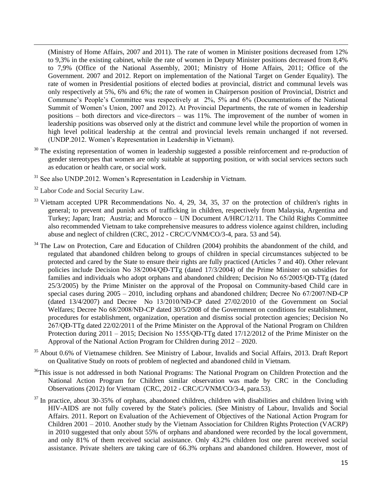(Ministry of Home Affairs, 2007 and 2011). The rate of women in Minister positions decreased from 12% to 9,3% in the existing cabinet, while the rate of women in Deputy Minister positions decreased from 8,4% to 7,9% (Office of the National Assembly, 2001; Ministry of Home Affairs, 2011; Office of the Government. 2007 and 2012. Report on implementation of the National Target on Gender Equality). The rate of women in Presidential positions of elected bodies at provincial, district and communal levels was only respectively at 5%, 6% and 6%; the rate of women in Chairperson position of Provincial, District and Commune's People's Committee was respectively at 2%, 5% and 6% (Documentations of the National Summit of Women's Union, 2007 and 2012). At Provincial Departments, the rate of women in leadership positions – both directors and vice-directors – was 11%. The improvement of the number of women in leadership positions was observed only at the district and commune level while the proportion of women in high level political leadership at the central and provincial levels remain unchanged if not reversed. (UNDP.2012. Women's Representation in Leadership in Vietnam).

- <sup>30</sup> The existing representation of women in leadership suggested a possible reinforcement and re-production of gender stereotypes that women are only suitable at supporting position, or with social services sectors such as education or health care, or social work.
- <sup>31</sup> See also UNDP.2012. Women's Representation in Leadership in Vietnam.
- <sup>32</sup> Labor Code and Social Security Law.

- <sup>33</sup> Vietnam accepted UPR Recommendations No. 4, 29, 34, 35, 37 on the protection of children's rights in general; to prevent and punish acts of trafficking in children, respectively from Malaysia, Argentina and Turkey; Japan; Iran; Austria; and Morocco – UN Document A/HRC/12/11. The Child Rights Committee also recommended Vietnam to take comprehensive measures to address violence against children, including abuse and neglect of children (CRC, 2012 - CRC/C/VNM/CO/3-4, para. 53 and 54).
- $34$  The Law on Protection, Care and Education of Children (2004) prohibits the abandonment of the child, and regulated that abandoned children belong to groups of children in special circumstances subjected to be protected and cared by the State to ensure their rights are fully practiced (Articles 7 and 40). Other relevant policies include Decision No 38/2004/QĐ-TTg (dated 17/3/2004) of the Prime Minister on subsidies for families and individuals who adopt orphans and abandoned children; Decision No 65/2005/QĐ-TTg (dated 25/3/2005) by the Prime Minister on the approval of the Proposal on Community-based Child care in special cases during 2005 – 2010, including orphans and abandoned children; Decree No 67/2007/NĐ-CP (dated 13/4/2007) and Decree No 13/2010/NĐ-CP dated 27/02/2010 of the Government on Social Welfares; Decree No 68/2008/NĐ-CP dated 30/5/2008 of the Government on conditions for establishment, procedures for establishment, organization, operation and dismiss social protection agencies; Decision No 267/QĐ-TTg dated 22/02/2011 of the Prime Minister on the Approval of the National Program on Children Protection during 2011 – 2015; Decision No 1555/QĐ-TTg dated 17/12/2012 of the Prime Minister on the Approval of the National Action Program for Children during 2012 – 2020.
- <sup>35</sup> About 0.6% of Vietnamese children. See Ministry of Labour, Invalids and Social Affairs, 2013. Draft Report on Qualitative Study on roots of problem of neglected and abandoned child in Vietnam.
- <sup>36</sup>This issue is not addressed in both National Programs: The National Program on Children Protection and the National Action Program for Children similar observation was made by CRC in the Concluding Observations (2012) for Vietnam (CRC, 2012 - CRC/C/VNM/CO/3-4, para.53).
- $37$  In practice, about 30-35% of orphans, abandoned children, children with disabilities and children living with HIV-AIDS are not fully covered by the State's policies. (See Ministry of Labour, Invalids and Social Affairs. 2011. Report on Evaluation of the Achievement of Objectives of the National Action Program for Children 2001 – 2010. Another study by the Vietnam Association for Children Rights Protection (VACRP) in 2010 suggested that only about 55% of orphans and abandoned were recorded by the local government, and only 81% of them received social assistance. Only 43.2% children lost one parent received social assistance. Private shelters are taking care of 66.3% orphans and abandoned children. However, most of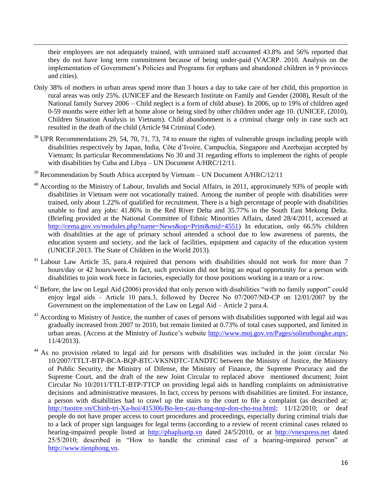their employees are not adequately trained, with untrained staff accounted 43.8% and 56% reported that they do not have long term commitment because of being under-paid (VACRP. 2010. Analysis on the implementation of Government's Policies and Programs for orphans and abandoned children in 9 provinces and cities).

- Only 38% of mothers in urban areas spend more than 3 hours a day to take care of her child, this proportion in rural areas was only 25%. (UNICEF and the Research Institute on Family and Gender (2008), Result of the National family Survey 2006 – Child neglect is a form of child abuse). In 2006, up to 19% of children aged 0-59 months were either left at home alone or being sited by other children under age 10. (UNICEF, (2010), Children Situation Analysis in Vietnam). Child abandonment is a criminal charge only in case such act resulted in the death of the child (Article 94 Criminal Code).
- <sup>38</sup> UPR Recommendations 29, 54, 70, 71, 73, 74 to ensure the rights of vulnerable groups including people with disabilities respectively by Japan, India, Côte d'Ivoire, Campuchia, Singapore and Azerbaijan accepted by Vietnam; In particular Recommendations No 30 and 31 regarding efforts to implement the rights of people with disabilities by Cuba and Libya – UN Document A/HRC/12/11.
- $39$  Recommendation by South Africa accepted by Vietnam UN Document A/HRC/12/11

- <sup>40</sup> According to the Ministry of Labour, Invalids and Social Affairs, in 2011, approximately 93% of people with disabilities in Vietnam were not vocationally trained. Among the number of people with disabilities were trained, only about 1.22% of qualified for recruitment. There is a high percentage of people with disabilities unable to find any jobs: 41.86% in the Red River Delta and 35.77% in the South East Mekong Delta. (Briefing provided at the National Committee of Ethnic Minorities Affairs, dated 28/4/2011, accessed at [http://cema.gov.vn/modules.php?name=News&op=Print&mid=4551\)](http://cema.gov.vn/modules.php?name=News&op=Print&mid=4551) In education, only 66.5% children with disabilities at the age of primary school attended a school due to low awareness of parents, the education system and society, and the lack of facilities, equipment and capacity of the education system (UNICEF.2013. The State of Children in the World 2013).
- <sup>41</sup> Labour Law Article 35, para.4 required that persons with disabilities should not work for more than 7 hours/day or 42 hours/week. In fact, such provision did not bring an equal opportunity for a person with disabilities to join work force in factories, especially for those positions working in a team or a row.
- $42$  Before, the law on Legal Aid (2006) provided that only person with disabilities "with no family support" could enjoy legal aids – Article 10 para.3, followed by Decree No 07/2007/NĐ-CP on 12/01/2007 by the Government on the implementation of the Law on Legal Aid – Article 2 para.4.
- $43$  According to Ministry of Justice, the number of cases of persons with disabilities supported with legal aid was gradually increased from 2007 to 2010, but remain limited at 0.73% of total cases supported, and limited in urban areas. (Access at the Ministry of Justice's website [http://www.moj.gov.vn/Pages/solieuthongke.aspx;](http://www.moj.gov.vn/Pages/solieuthongke.aspx) 11/4/2013).
- <sup>44</sup> As no provision related to legal aid for persons with disabilities was included in the joint circular No 10/2007/TTLT-BTP-BCA-BQP-BTC-VKSNDTC-TANDTC between the Ministry of Justice, the Ministry of Public Security, the Ministry of Difense, the Ministry of Finance, the Supreme Procuracy and the Supreme Court, and the draft of the new Joint Circular to replaced above mentioned document; Joint Circular No 10/2011/TTLT-BTP-TTCP on providing legal aids in handling complaints on administrative decisions and administrative measures. In fact, cccess by persons with disabilities are limited. For instance, a person with disabilities had to crawl up the stairs to the court to file a complaint (as described at: [http://tuoitre.vn/Chinh-tri-Xa-hoi/415306/Bo-len-cau-thang-nop-don-cho-toa.html;](http://tuoitre.vn/Chinh-tri-Xa-hoi/415306/Bo-len-cau-thang-nop-don-cho-toa.html) 11/12/2010; or deaf people do not have proper access to court procedures and proceedings, especially during criminal trials due to a lack of proper sign languages for legal terms (according to a review of recent criminal cases related to hearing-impaired people listed at [http://phapluattp.vn](http://phapluattp.vn/) dated 24/5/2010, or at [http://vnexpress.net](http://vnexpress.net/) dated 25/5/2010; described in "How to handle the criminal case of a hearing-impaired person" at [http://www.tienphong.vn.](http://www.tienphong.vn/)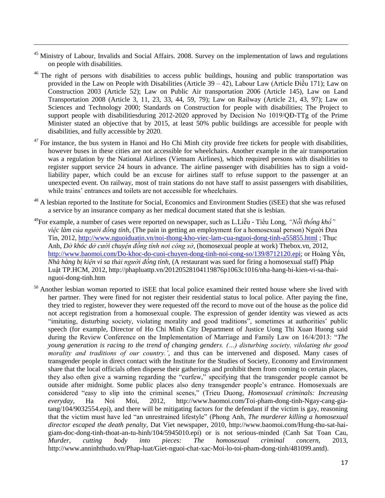<sup>45</sup> Ministry of Labour, Invalids and Social Affairs. 2008. Survey on the implementation of laws and regulations on people with disabilities.

- <sup>46</sup> The right of persons with disabilities to access public buildings, housing and public transportation was provided in the Law on People with Disabilities (Article 39 – 42), Labour Law (Article Điều 171); Law on Construction 2003 (Article 52); Law on Public Air transportation 2006 (Article 145), Law on Land Transportation 2008 (Article 3, 11, 23, 33, 44, 59, 79); Law on Railway (Article 21, 43, 97); Law on Sciences and Technology 2000; Standards on Construction for people with disabilities; The Project to support people with disabilitiesduring 2012-2020 approved by Decision No 1019/QĐ-TTg of the Prime Minister stated an objective that by 2015, at least 50% public buildings are accessible for people with disabilities, and fully accessible by 2020.
- $47$  For instance, the bus system in Hanoi and Ho Chi Minh city provide free tickets for people with disabilities, however buses in these cities are not accessible for wheelchairs. Another example in the air transportation was a regulation by the National Airlines (Vietnam Airlines), which required persons with disabilities to register support service 24 hours in advance. The airline passenger with disabilities has to sign a voidliability paper, which could be an excuse for airlines staff to refuse support to the passenger at an unexpected event. On railway, most of train stations do not have staff to assist passengers with disabilities, while trains' entrances and toilets are not accessible for wheelchairs.
- <sup>48</sup> A lesbian reported to the Institute for Social, Economics and Environment Studies (iSEE) that she was refused a service by an insurance company as her medical document stated that she is lesbian.
- <sup>49</sup>For example, a number of cases were reported on newspaper, such as L.Liễu Tiểu Long, *"Nỗi thống khổ" việc làm của người đồng tính*, (The pain in getting an employment for a homosexual person) Người Đưa Tin, 2012,<http://www.nguoiduatin.vn/noi-thong-kho-viec-lam-cua-nguoi-dong-tinh-a55855.html> ; Thục Anh, *Dở khóc dở cười chuyện đồng tính nơi công sở*, (homosexual people at work) Thebox.vn, 2012, [http://www.baomoi.com/Do-khoc-do-cuoi-chuyen-dong-tinh-noi-cong-so/139/8712120.epi;](http://www.baomoi.com/Do-khoc-do-cuoi-chuyen-dong-tinh-noi-cong-so/139/8712120.epi) or Hoàng Yến, *Nhà hàng bị kiện vì sa thải người đồng tính*, (A restaurant was sued for firing a homosexual staff) Pháp Luật TP.HCM, 2012, http://phapluattp.vn/20120528104119876p1063c1016/nha-hang-bi-kien-vi-sa-thainguoi-dong-tinh.htm
- <sup>50</sup> Another lesbian woman reported to iSEE that local police examined their rented house where she lived with her partner. They were fined for not register their residential status to local police. After paying the fine, they tried to register, however they were requested off the record to move out of the house as the police did not accept registration from a homosexual couple. The expression of gender identity was viewed as acts "imitating, disturbing society, violating morality and good traditions", sometimes at authorities' public speech (for example, Director of Ho Chi Minh City Department of Justice Uong Thi Xuan Huong said during the Review Conference on the Implementation of Marriage and Family Law on 16/4/2013: "*The young generation is racing to the trend of changing genders. (…) disturbing society, vilolating the good morality and traditions of our country.'*, and thus can be intervened and disposed. Many cases of transgender people in direct contact with the Institute for the Studies of Society, Economy and Environment share that the local officials often disperse their gatherings and prohibit them from coming to certain places, they also often give a warning regarding the "curfew," specifying that the transgender people cannot be outside after midnight. Some public places also deny transgender people's entrance. Homosexuals are considered "easy to slip into the criminal scenes," (Trieu Duong, *Homosexual criminals: Increasing everyday*, Ha Noi Moi, 2012, http://www.baomoi.com/Toi-pham-dong-tinh-Ngay-cang-giatang/104/9032554.epi), and there will be mitigating factors for the defendant if the victim is gay, reasoning that the victim must have led "an unrestrained lifestyle" (Phong Anh, *The murderer killing a homosexual director escaped the death penalty*, Dat Viet newspaper, 2010, http://www.baomoi.com/Hung-thu-sat-haigiam-doc-dong-tinh-thoat-an-tu-hinh/104/5945010.epi) or is not serious-minded (Canh Sat Toan Cau, *Murder, cutting body into pieces: The homosexual criminal concern,* 2013, http://www.anninhthudo.vn/Phap-luat/Giet-nguoi-chat-xac-Moi-lo-toi-pham-dong-tinh/481099.antd).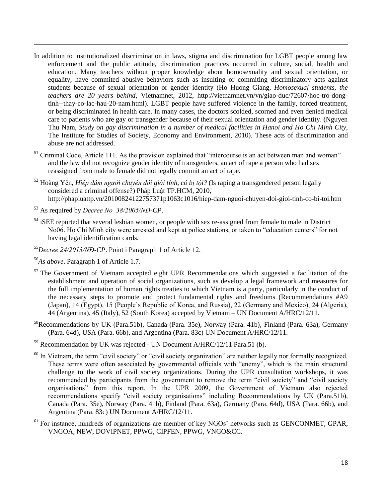- In addition to institutionalized discrimination in laws, stigma and discrimination for LGBT people among law enforcement and the public attitude, discrimination practices occurred in culture, social, health and education. Many teachers without proper knowledge about homosexuality and sexual orientation, or equality, have commited abusive behaviors such as insulting or commiting discriminatory acts against students because of sexual orientation or gender identity (Ho Huong Giang, *Homosexual students, the teachers are 20 years behind*, Vietnamnet, 2012, http://vietnamnet.vn/vn/giao-duc/72607/hoc-tro-dongtinh--thay-co-lac-hau-20-nam.html). LGBT people have suffered violence in the family, forced treatment, or being discriminated in health care. In many cases, the doctors scolded, scorned and even denied medical care to patients who are gay or transgender because of their sexual orientation and gender identity. (Nguyen Thu Nam, *Study on gay discrimination in a number of medical facilities in Hanoi and Ho Chi Minh City,*  The Institute for Studies of Society, Economy and Environment, 2010). These acts of discrimination and abuse are not addressed.
- <sup>51</sup> Criminal Code, Article 111. As the provision explained that "intercourse is an act between man and woman" and the law did not recognize gender identity of transgenders, an act of rape a person who had sex reassigned from male to female did not legally commit an act of rape.
- <sup>52</sup> Hoàng Yến, *Hiếp dâm người chuyển đổi giới tính, có bị tội?* (Is raping a transgendered person legally considered a criminal offense?) Pháp Luật TP.HCM, 2010, http://phapluattp.vn/20100824122757371p1063c1016/hiep-dam-nguoi-chuyen-doi-gioi-tinh-co-bi-toi.htm
- <sup>53</sup> As required by *Decree No 38/2005/NĐ-CP*.
- <sup>54</sup> iSEE reported that several lesbian women, or people with sex re-assigned from female to male in District No06. Ho Chi Minh city were arrested and kept at police stations, or taken to "education centers" for not having legal identification cards.
- <sup>55</sup>*Decree 24/2013/NĐ-CP*. Point i Paragraph 1 of Article 12.
- <sup>56</sup>*As above*. Paragraph 1 of Article 1.7.

- <sup>57</sup> The Government of Vietnam accepted eight UPR Recommendations which suggested a facilitation of the establishment and operation of social organizations, such as develop a legal framework and measures for the full implementation of human rights treaties to which Vietnam is a party, particularly in the conduct of the necessary steps to promote and protect fundamental rights and freedoms (Recommendations #A9 (Japan), 14 (Egypt), 15 (People's Republic of Korea, and Russia), 22 (Germany and Mexico), 24 (Algeria), 44 (Argentina), 45 (Italy), 52 (South Korea) accepted by Vietnam – UN Document A/HRC/12/11.
- <sup>58</sup>Recommendations by UK (Para.51b), Canada (Para. 35e), Norway (Para. 41b), Finland (Para. 63a), Germany (Para. 64d), USA (Para. 66b), and Argentina (Para. 83c) UN Document A/HRC/12/11.
- <sup>59</sup> Recommendation by UK was rejected UN Document A/HRC/12/11 Para.51 (b).
- <sup>60</sup> In Vietnam, the term "civil society" or "civil society organization" are neither legally nor formally recognized. These terms were often associated by governmental officials with "enemy", which is the main structural challenge to the work of civil society organizations. During the UPR consultation workshops, it was recommended by participants from the government to remove the term "civil society" and "civil society organisations" from this report. In the UPR 2009, the Government of Vietnam also rejected recommendations specify "civil society organisations" including Recommendations by UK (Para.51b), Canada (Para. 35e), Norway (Para. 41b), Finland (Para. 63a), Germany (Para. 64d), USA (Para. 66b), and Argentina (Para. 83c) UN Document A/HRC/12/11.
- $<sup>61</sup>$  For instance, hundreds of organizations are member of key NGOs' networks such as GENCONMET, GPAR,</sup> VNGOA, NEW, DOVIPNET, PPWG, CIPFEN, PPWG, VNGO&CC.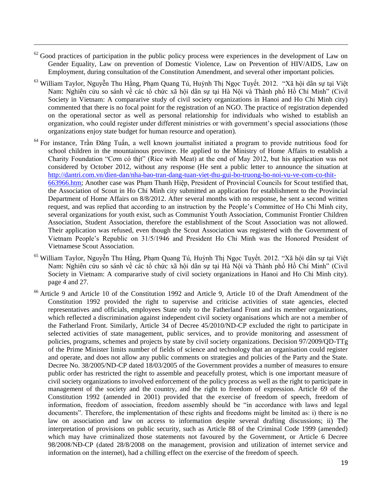$62$  Good practices of participation in the public policy process were experiences in the development of Law on Gender Equality, Law on prevention of Domestic Violence, Law on Prevention of HIV/AIDS, Law on Employment, during consultation of the Constitution Amendment, and several other important policies.

- <sup>63</sup> William Taylor, Nguyễn Thu Hằng, Phạm Quang Tú, Huỳnh Thị Ngọc Tuyết. 2012. "Xã hội dân sự tại Việt Nam: Nghiên cứu so sánh về các tổ chức xã hội dân sự tại Hà Nội và Thành phố Hồ Chí Minh" (Civil Society in Vietnam: A compararive study of civil society organizations in Hanoi and Ho Chi Minh city) commented that there is no focal point for the registration of an NGO. The practice of registration depended on the operational sector as well as personal relationship for individuals who wished to establish an organization, who could register under different ministries or with government's special associations (those organizations enjoy state budget for human resource and operation).
- <sup>64</sup> For instance, Trần Đăng Tuấn, a well known journalist initiated a program to provide nutritious food for school children in the mountainous province. He applied to the Ministry of Home Affairs to establish a Charity Foundation "Cơm có thịt" (Rice with Meat) at the end of May 2012, but his application was not considered by October 2012, without any response (He sent a public letter to announce the situation at [http://dantri.com.vn/dien-dan/nha-bao-tran-dang-tuan-viet-thu-gui-bo-truong-bo-noi-vu-ve-com-co-thit-](http://dantri.com.vn/dien-dan/nha-bao-tran-dang-tuan-viet-thu-gui-bo-truong-bo-noi-vu-ve-com-co-thit-663966.htm)[663966.htm;](http://dantri.com.vn/dien-dan/nha-bao-tran-dang-tuan-viet-thu-gui-bo-truong-bo-noi-vu-ve-com-co-thit-663966.htm) Another case was Phạm Thanh Hiệp, President of Provincial Councils for Scout testified that, the Association of Scout in Ho Chi Minh city submitted an application for establishment to the Provincial Department of Home Affairs on 8/8/2012. After several months with no response, he sent a second written request, and was replied that according to an instruction by the People's Committee of Ho Chi Minh city, several organizations for youth exist, such as Communist Youth Association, Communist Frontier Children Association, Student Association, therefore the establishment of the Scout Association was not allowed. Their application was refused, even though the Scout Association was registered with the Government of Vietnam People's Republic on 31/5/1946 and President Ho Chi Minh was the Honored President of Vietnamese Scout Association.
- <sup>65</sup> William Taylor, Nguyễn Thu Hằng, Phạm Quang Tú, Huỳnh Thị Ngọc Tuyết. 2012. "Xã hội dân sự tại Việt Nam: Nghiên cứu so sánh về các tổ chức xã hội dân sự tại Hà Nội và Thành phố Hồ Chí Minh" (Civil Society in Vietnam: A compararive study of civil society organizations in Hanoi and Ho Chi Minh city). page 4 and 27.
- <sup>66</sup> Article 9 and Article 10 of the Constitution 1992 and Article 9, Article 10 of the Draft Amendment of the Constitution 1992 provided the right to supervise and criticise activities of state agencies, elected representatives and officials, employees State only to the Fatherland Front and its member organizations, which reflected a discrimination against independent civil society organisations which are not a member of the Fatherland Front. Similarly, Article 34 of Decree 45/2010/ND-CP excluded the right to participate in selected activities of state management, public services, and to provide monitoring and assessment of policies, programs, schemes and projects by state by civil society organizations. Decision 97/2009/QD-TTg of the Prime Minister limits number of fields of science and technology that an organisation could register and operate, and does not allow any public comments on strategies and policies of the Party and the State. Decree No. 38/2005/ND-CP dated 18/03/2005 of the Government provides a number of measures to ensure public order has restricted the right to assemble and peacefully protest, which is one important measure of civil society organizations to involved enforcement of the policy process as well as the right to participate in management of the society and the country, and the right to freedom of expression. Article 69 of the Constitution 1992 (amended in 2001) provided that the exercise of freedom of speech, freedom of information, freedom of association, freedom assembly should be "in accordance with laws and legal documents". Therefore, the implementation of these rights and freedoms might be limited as: i) there is no law on association and law on access to information despite several drafting discussions; ii) The interpretation of provisions on public security, such as Article 88 of the Criminal Code 1999 (amended) which may have criminalized those statements not favoured by the Government, or Article 6 Decree 98/2008/NĐ-CP (dated 28/8/2008 on the management, provision and utilization of internet service and information on the internet), had a chilling effect on the exercise of the freedom of speech.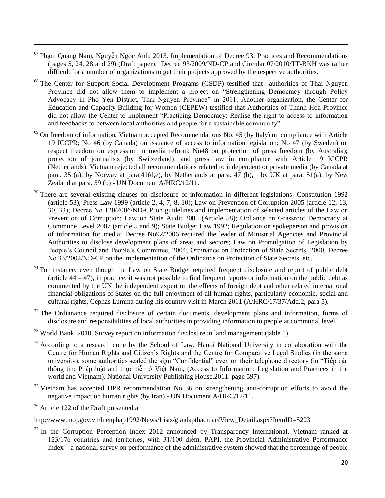- $67$  Pham Quang Nam, Nguyễn Ngọc Anh. 2013. Implementation of Decree 93: Practices and Recommendations (pages 5, 24, 28 and 29) (Draft paper). Decree 93/2009/ND-CP and Circular 07/2010/TT-BKH was rather difficult for a number of organizations to get their projects approved by the respective authorities.
- <sup>68</sup> The Center for Support Social Development Programs (CSDP) testified that authorities of Thai Nguyen Province did not allow them to implement a project on "Strengthening Democracy through Policy Advocacy in Pho Yen District, Thai Nguyen Province" in 2011. Another organization, the Center for Education and Capacity Building for Women (CEPEW) testified that Authorities of Thanh Hoa Province did not allow the Center to implement "Practicing Democracy: Realise the right to access to information and feedbacks to between local authorities and people for a sustainable community".
- <sup>69</sup> On freedom of information, Vietnam accepted Recommendations No. 45 (by Italy) on compliance with Article 19 ICCPR; No 46 (by Canada) on issuance of access to information legislation; No 47 (by Sweden) on respect freedom on expression in media reform; No48 on protection of press freedom (by Australia); protection of journalists (by Switzerland); and press law in compliance with Article 19 ICCPR (Netherlands). Vietnam rejected all recommendations related to independent or private media (by Canada at para. 35 (a), by Norway at para.41(d,e), by Netherlands at para. 47 (b), by UK at para. 51(a), by New Zealand at para. 59 (b) - UN Document A/HRC/12/11.
- $70$  There are several existing clauses on disclosure of information in different legislations: Constitution 1992 (article 53); Press Law 1999 (article 2, 4, 7, 8, 10); Law on Prevention of Corruption 2005 (article 12, 13, 30, 33); Decree No 120/2006/NĐ-CP on guidelines and implementation of selected articles of the Law on Prevention of Corruption; Law on State Audit 2005 (Article 58); Ordiance on Grassroot Democracy at Commune Level 2007 (article 5 and 9); State Budget Law 1992; Regulation on spokeperson and provision of information for media; Decree No92/2006 required the leader of Ministrial Agencies and Provincial Authorities to disclose development plans of areas and sectors; Law on Promulgation of Legislation by People's Council and People's Committee, 2004; Ordinance on Protection of State Secrets, 2000, Decree No 33/2002/NĐ-CP on the implementation of the Ordinance on Protection of State Secrets, etc.
- $71$  For instance, even though the Law on State Budget required frequent disclosure and report of public debt (article  $44 - 47$ ), in practice, it was not possible to find frequent reports or information on the public debt as commented by the UN the independent expert on the effects of foreign debt and other related international financial obligations of States on the full enjoyment of all human rights, particularly economic, social and cultural rights, Cephas Lumina during his country visit in March 2011 (A/HRC/17/37/Add.2, para 5).
- $72$  The Ordianance required disclosure of certain documents, development plans and information, forms of disclosure and responsibilities of local authorities in providing information to people at communal level.
- <sup>73</sup> World Bank. 2010. Survey report on information disclosure in land management (table 1).
- $74$  According to a research done by the School of Law, Hanoi National University in collaboration with the Centre for Human Rights and Citizen's Rights and the Centre for Comparative Legal Studies (in the same university), some authorities sealed the sign "Confidential" even on their telephone directory (in "Tiếp cận thông tin: Pháp luật and thực tiễn ở Việt Nam, (Access to Information: Legislation and Practices in the world and Vietnam). National University Publishing House.2011. page 597).
- $75$  Vietnam has accepted UPR recommendation No 36 on strengthening anti-corruption efforts to avoid the negative impact on human rights (by Iran) - UN Document A/HRC/12/11.

<sup>76</sup> Article 122 of the Draft presented at

 $\overline{\phantom{a}}$ 

http://www.moj.gov.vn/hienphap1992/News/Lists/giaidapthacmac/View\_Detail.aspx?ItemID=5223

 $77$  In the Corruption Perception Index 2012 announced by Transparency International, Vietnam ranked at 123/176 countries and territories, with 31/100 điểm. PAPI, the Provincial Administrative Performance Index – a national survey on performance of the administrative system showed that the percentage of people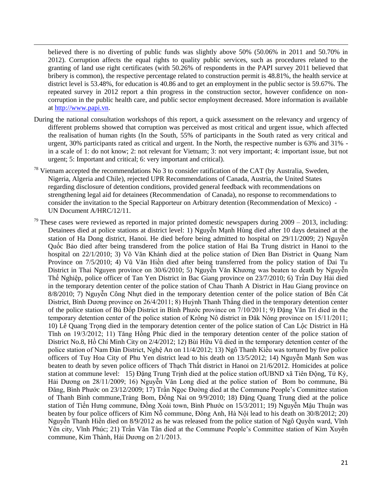believed there is no diverting of public funds was slightly above 50% (50.06% in 2011 and 50.70% in 2012). Corruption affects the equal rights to quality public services, such as procedures related to the granting of land use right certificates (with 50.26% of respondents in the PAPI survey 2011 believed that bribery is common), the respective percentage related to construction permit is 48.81%, the health service at district level is 53.48%, for education is 40.86 and to get an employment in the public sector is 59.67%. The repeated survey in 2012 report a thin progress in the construction sector, however confidence on noncorruption in the public health care, and public sector employment decreased. More information is available at [http://www.papi.vn.](http://www.papi.vn/)

- During the national consultation workshops of this report, a quick assessment on the relevancy and urgency of different problems showed that corruption was perceived as most critical and urgent issue, which affected the realisation of human rights (In the South, 55% of participants in the South rated as very critical and urgent, 30% participants rated as critical and urgent. In the North, the respective number is 63% and 31% in a scale of 1: do not know; 2: not relevant for Vietnam; 3: not very important; 4: important issue, but not urgent; 5: Important and critical; 6: very important and critical).
- $^{78}$  Vietnam accepted the recommendations No 3 to consider ratification of the CAT (by Australia, Sweden, Nigeria, Algeria and Chile), rejected UPR Recommendations of Canada, Austria, the United States regarding disclosure of detention conditions, provided general feedback with recommendations on strengthening legal aid for detainees (Recommendation of Canada), no response to recommendations to consider the invitation to the Special Rapporteur on Arbitrary detention (Recommendation of Mexico) - UN Document A/HRC/12/11.
- $79$  These cases were reviewed as reported in major printed domestic newspapers during  $2009 2013$ , including: Detainees died at police stations at district level: 1) Nguyễn Mạnh Hùng died after 10 days detained at the station of Ha Dong district, Hanoi. He died before being admitted to hospital on 29/11/2009; 2) Nguyễn Quốc Bảo died after being transdered from the police station of Hai Ba Trung district in Hanoi to the hospital on 22/1/2010; 3) Võ Văn Khánh died at the police station of Dien Ban District in Quang Nam Province on 7/5/2010; 4) Vũ Văn Hiền died after being transferred from the policy station of Dai Tu District in Thai Nguyen province on 30/6/2010; 5) Nguyễn Văn Khương was beaten to death by Nguyễn Thế Nghiệp, police officer of Tan Yen District in Bac Giang province on 23/7/2010; 6) Trần Duy Hải died in the temporary detention center of the police station of Chau Thanh A District in Hau Giang province on 8/8/2010; 7) Nguyễn Công Nhựt died in the temporary detention center of the police station of Bến Cát District, Bình Dương province on 26/4/2011; 8) Huỳnh Thanh Thắng died in the temporary detention center of the police station of Bù Đốp District in Bình Phước province on 7/10/2011; 9) Đặng Văn Trí died in the temporary detention center of the police station of Krông Nô district in Đăk Nông province on 15/11/2011; 10) Lê Quang Trọng died in the temporary detention center of the police station of Can Lộc District in Hà Tĩnh on 19/3/2012; 11) Tăng Hồng Phúc died in the temporary detention center of the police station of District No.8, Hồ Chí Minh City on 2/4/2012; 12) Bùi Hữu Vũ died in the temporary detention center of the police station of Nam Đàn District, Nghệ An on 11/4/2012; 13) Ngô Thanh Kiều was tortured by five police officers of Tuy Hoa City of Phu Yen district lead to his death on 13/5/2012; 14) Nguyễn Mạnh Sơn was beaten to death by seven police officers of Thạch Thất district in Hanoi on 21/6/2012. Homicides at police station at commune level: 15) Đặng Trung Trịnh died at the police station ofUBND xã Tiên Động, Tứ Kỳ, Hải Dương on 28/11/2009; 16) Nguyễn Văn Long died at the police station of Bom bo commune, Bù Đăng, Bình Phước on 23/12/2009; 17) Trần Ngọc Đường died at the Commune People's Committee station of Thanh Bình commune,Trảng Bom, Đồng Nai on 9/9/2010; 18) Đặng Quang Trung died at the police station of Tiến Hưng commune, Đồng Xoài town, Bình Phước on 15/3/2011; 19) Nguyễn Mậu Thuận was beaten by four police officers of Kim Nỗ commune, Đông Anh, Hà Nội lead to his death on 30/8/2012; 20) Nguyễn Thanh Hiền died on 8/9/2012 as he was released from the police station of Ngô Quyền ward, Vĩnh Yên city, Vĩnh Phúc; 21) Trần Văn Tân died at the Commune People's Committee station of Kim Xuyên commune, Kim Thành, Hải Dương on 2/1/2013.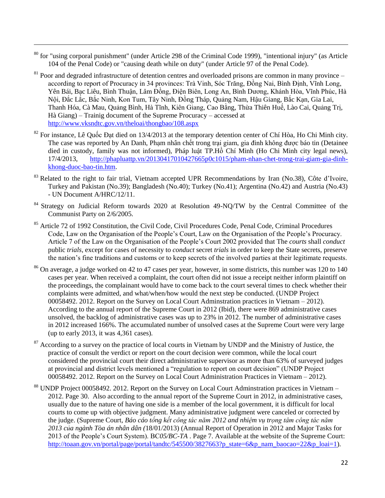<sup>80</sup> for "using corporal punishment" (under Article 298 of the Criminal Code 1999), "intentional injury" (as Article 104 of the Penal Code) or "causing death while on duty" (under Article 97 of the Penal Code).

- <sup>81</sup> Poor and degraded infrastructure of detention centres and overloaded prisons are common in many province according to report of Procuracy in 34 provinces: Trà Vinh, Sóc Trăng, Đồng Nai, Bình Định, Vĩnh Long, Yên Bái, Bạc Liêu, Bình Thuận, Lâm Đồng, Điện Biên, Long An, Bình Dương, Khánh Hòa, Vĩnh Phúc, Hà Nội, Đắc Lắc, Bắc Ninh, Kon Tum, Tây Ninh, Đồng Tháp, Quảng Nam, Hậu Giang, Bắc Kạn, Gia Lai, Thanh Hóa, Cà Mau, Quảng Bình, Hà Tĩnh, Kiên Giang, Cao Bằng, Thừa Thiên Huế, Lào Cai, Quảng Trị, Hà Giang) – Trainig document of the Supreme Procuracy – accessed at <http://www.vksndtc.gov.vn/theloai/thongbao/108.aspx>
- $82$  For instance, Lê Quốc Đạt died on 13/4/2013 at the temporary detention center of Chí Hòa, Ho Chi Minh city. The case was reported by An Danh, Phạm nhân chết trong trại giam, gia đình không được báo tin (Detainee died in custody, family was not informed), Pháp luật TP.Hồ Chí Minh (Ho Chi Minh city legal news), 17/4/2013, [http://phapluattp.vn/20130417010427665p0c1015/pham-nhan-chet-trong-trai-giam-gia-dinh](http://phapluattp.vn/20130417010427665p0c1015/pham-nhan-chet-trong-trai-giam-gia-dinh-khong-duoc-bao-tin.htm)[khong-duoc-bao-tin.htm.](http://phapluattp.vn/20130417010427665p0c1015/pham-nhan-chet-trong-trai-giam-gia-dinh-khong-duoc-bao-tin.htm)
- <sup>83</sup> Related to the right to fair trial, Vietnam accepted UPR Recommendations by Iran (No.38), Côte d'Ivoire, Turkey and Pakistan (No.39); Bangladesh (No.40); Turkey (No.41); Argentina (No.42) and Austria (No.43) - UN Document A/HRC/12/11.
- <sup>84</sup> Strategy on Judicial Reform towards 2020 at Resolution 49-NQ/TW by the Central Committee of the Communist Party on 2/6/2005.
- <sup>85</sup> Article 72 of 1992 Constitution, the Civil Code, Civil Procedures Code, Penal Code, Criminal Procedures Code, Law on the Organisation of the People's Court, Law on the Organisation of the People's Procuracy. Article 7 of the Law on the Organisation of the People's Court 2002 provided that The *courts* shall *conduct* public *trials*, except for cases of necessity to *conduct* secret *trials* in order to keep the State secrets, preserve the nation's fine traditions and customs or to keep secrets of the involved parties at their legitimate requests.
- <sup>86</sup> On average, a judge worked on 42 to 47 cases per year, however, in some districts, this number was 120 to 140 cases per year. When received a complaint, the court often did not issue a receipt neither inform plaintiff on the proceedings, the complainant would have to come back to the court several times to check whether their complaints were admitted, and what/when/how would the next step be conducted. (UNDP Project 00058492. 2012. Report on the Survey on Local Court Adminstration practices in Vietnam – 2012). According to the annual report of the Supreme Court in 2012 (Ibid), there were 869 administrative cases unsolved, the backlog of administrative cases was up to 23% in 2012. The number of administrative cases in 2012 increased 166%. The accumulated number of unsolved cases at the Supreme Court were very large (up to early 2013, it was 4,361 cases).
- <sup>87</sup> According to a survey on the practice of local courts in Vietnam by UNDP and the Ministry of Justice, the practice of consult the verdict or report on the court decision were common, while the local court considered the provincial court their direct administrative supervisor as more than 63% of surveyed judges at provincial and district levels mentioned a "regulation to report on court decision" (UNDP Project 00058492. 2012. Report on the Survey on Local Court Administration Practices in Vietnam – 2012).
- <sup>88</sup> UNDP Project 00058492. 2012. Report on the Survey on Local Court Adminstration practices in Vietnam 2012. Page 30. Also according to the annual report of the Supreme Court in 2012, in administrative cases, usually due to the nature of having one side is a member of the local government, it is difficult for local courts to come up with objective judgment. Many administrative judgment were canceled or corrected by the judge. (Supreme Court, *Báo cáo tổng kết công tác năm 2012 and nhiệm vụ trọng tâm công tác năm 2013 của ngành Tòa án nhân dân (*18/01/2013) (Annual Report of Operation in 2012 and Major Tasks for 2013 of the People's Court System). BC*05/BC-TA* . Page 7. Available at the website of the Supreme Court: [http://toaan.gov.vn/portal/page/portal/tandtc/545500/3827663?p\\_state=6&p\\_nam\\_baocao=22&p\\_loai=1\)](http://toaan.gov.vn/portal/page/portal/tandtc/545500/3827663?p_state=6&p_nam_baocao=22&p_loai=1).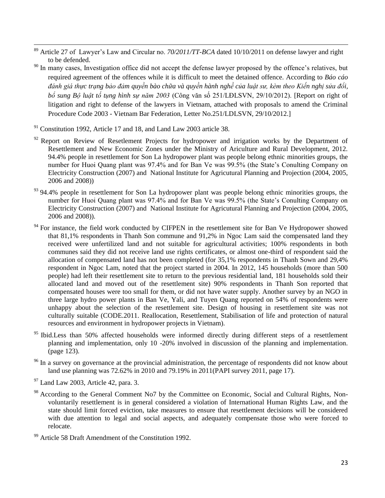- $\overline{\phantom{a}}$ <sup>89</sup> Article 27 of Lawyer's Law and Circular no. *70/2011/TT-BCA* dated 10/10/2011 on defense lawyer and right to be defended.
- <sup>90</sup> In many cases, Investigation office did not accept the defense lawyer proposed by the offence's relatives, but required agreement of the offences while it is difficult to meet the detained offence. According to *Báo cáo đánh giá thực trạng bảo đảm quyền bào chữa và quyền hành nghề của luật sư, kèm theo Kiến nghị sửa đổi, bổ sung Bộ luật tố tụng hình sự năm 2003* (Công văn số 251/LĐLSVN, 29/10/2012). [Report on right of litigation and right to defense of the lawyers in Vietnam, attached with proposals to amend the Criminal Procedure Code 2003 - Vietnam Bar Federation, Letter No.251/LDLSVN, 29/10/2012.]
- <sup>91</sup> Constitution 1992, Article 17 and 18, and Land Law 2003 article 38.
- $92$  Report on Review of Resetlement Projects for hydropower and irrigation works by the Department of Resettlement and New Economic Zones under the Ministry of Ariculture and Rural Development, 2012. 94.4% people in resettlement for Son La hydropower plant was people belong ethnic minorities groups, the number for Huoi Quang plant was 97.4% and for Ban Ve was 99.5% (the State's Conulting Company on Electricity Construction (2007) and National Institute for Agricutural Planning and Projection (2004, 2005, 2006 and 2008))
- 93 94.4% people in resettlement for Son La hydropower plant was people belong ethnic minorities groups, the number for Huoi Quang plant was 97.4% and for Ban Ve was 99.5% (the State's Conulting Company on Electricity Construction (2007) and National Institute for Agricutural Planning and Projection (2004, 2005, 2006 and 2008)).
- <sup>94</sup> For instance, the field work conducted by CIFPEN in the resettlement site for Ban Ve Hydropower showed that 81,1% respondents in Thanh Son commune and 91,2% in Ngoc Lam said the compensated land they received were unfertilized land and not suitable for agricultural activities; 100% respondents in both communes said they did not receive land use rights certificates, or almost one-third of respondent said the allocation of compensated land has not been completed (for 35,1% respondents in Thanh Sown and 29,4% respondent in Ngoc Lam, noted that the project started in 2004. In 2012, 145 households (more than 500 people) had left their resettlement site to return to the previous residential land, 181 households sold their allocated land and moved out of the resettlement site) 90% respondents in Thanh Son reported that compensated houses were too small for them, or did not have water supply. Another survey by an NGO in three large hydro power plants in Ban Ve, Yali, and Tuyen Quang reported on 54% of respondents were unhappy about the selection of the resettlement site. Design of housing in resettlement site was not culturally suitable (CODE.2011. Reallocation, Resettlement, Stabilisation of life and protection of natural resources and environment in hydropower projects in Vietnam).
- <sup>95</sup> Ibid.Less than 50% affected households were informed directly during different steps of a resettlement planning and implementation, only 10 -20% involved in discussion of the planning and implementation. (page 123).
- <sup>96</sup> In a survey on governance at the provincial administration, the percentage of respondents did not know about land use planning was 72.62% in 2010 and 79.19% in 2011(PAPI survey 2011, page 17).

 $97$  Land Law 2003, Article 42, para. 3.

<sup>98</sup> According to the General Comment No7 by the Committee on Economic, Social and Cultural Rights, Nonvoluntarily resettlement is in general considered a violation of International Human Rights Law, and the state should limit forced eviction, take measures to ensure that resettlement decisions will be considered with due attention to legal and social aspects, and adequately compensate those who were forced to relocate.

 $99$  Article 58 Draft Amendment of the Constitution 1992.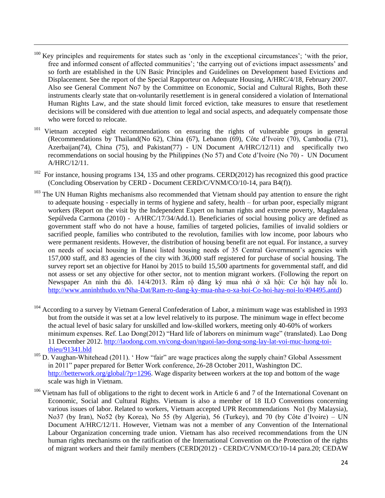$100$  Key principles and requirements for states such as 'only in the exceptional circumstances'; 'with the prior, free and informed consent of affected communities'; 'the carrying out of evictions impact assessments' and so forth are established in the UN Basic Principles and Guidelines on Development based Evictions and Displacement. See the report of the Special Rapporteur on Adequate Housing, A/HRC/4/18, February 2007. Also see General Comment No7 by the Committee on Economic, Social and Cultural Rights, Both these instruments clearly state that on-voluntarily resettlement is in general considered a violation of International Human Rights Law, and the state should limit forced eviction, take measures to ensure that resetlement decisions will be considered with due attention to legal and social aspects, and adequately compensate those who were forced to relocate.

- <sup>101</sup> Vietnam accepted eight recommendations on ensuring the rights of vulnerable groups in general (Recommendations by Thailand(No 62), China (67), Lebanon (69), Côte d'Ivoire (70), Cambodia (71), Azerbaijan(74), China (75), and Pakistan(77) - UN Document A/HRC/12/11) and specifically two recommendations on social housing by the Philippines (No 57) and Cote d'Ivoire (No 70) - UN Document A/HRC/12/11.
- <sup>102</sup> For instance, housing programs 134, 135 and other programs. CERD(2012) has recognized this good practice (Concluding Observation by CERD - Document CERD/C/VNM/CO/10-14, para B4(f)).
- <sup>103</sup> The UN Human Rights mechanisms also recommended that Vietnam should pay attention to ensure the right to adequate housing - especially in terms of hygiene and safety, health – for urban poor, especially migrant workers (Report on the visit by the Independent Expert on human rights and extreme poverty, Magdalena Sepúlveda Carmona (2010) - A/HRC/17/34/Add.1). Beneficiaries of social housing policy are defined as government staff who do not have a house, families of targeted policies, families of invalid soldiers or sacrified people, families who contributed to the revolution, families with low income, poor labours who were permanent residents. However, the distribution of housing benefit are not equal. For instance, a survey on needs of social housing in Hanoi listed housing needs of 35 Central Government's agencies with 157,000 staff, and 83 agencies of the city with 36,000 staff registered for purchase of social housing. The survey report set an objective for Hanoi by 2015 to build 15,500 apartments for governmental staff, and did not assess or set any objective for other sector, not to mention migrant workers. (Following the report on Newspaper An ninh thủ đô. 14/4/2013. Rầm rộ đăng ký mua nhà ở xã hội: Cơ hội hay nỗi lo. [http://www.anninhthudo.vn/Nha-Dat/Ram-ro-dang-ky-mua-nha-o-xa-hoi-Co-hoi-hay-noi-lo/494495.antd\)](http://www.anninhthudo.vn/Nha-Dat/Ram-ro-dang-ky-mua-nha-o-xa-hoi-Co-hoi-hay-noi-lo/494495.antd)
- $104$  According to a survey by Vietnam General Confederation of Labor, a minimum wage was established in 1993 but from the outside it was set at a low level relatively to its purpose. The minimum wage in effect become the actual level of basic salary for unskilled and low-skilled workers, meeting only 40-60% of workers minimum expenses. Ref. Lao Dong(2012) "Hard life of laborers on minimum wage" (translated). Lao Dong 11 December 2012. [http://laodong.com.vn/cong-doan/nguoi-lao-dong-song-lay-lat-voi-muc-luong-toi](http://laodong.com.vn/cong-doan/nguoi-lao-dong-song-lay-lat-voi-muc-luong-toi-thieu/91341.bld)[thieu/91341.bld](http://laodong.com.vn/cong-doan/nguoi-lao-dong-song-lay-lat-voi-muc-luong-toi-thieu/91341.bld)
- <sup>105</sup> D. Vaughan-Whitehead (2011). 'How "fair" are wage practices along the supply chain? Global Assessment in 2011" paper prepared for Better Work conference, 26-28 October 2011, Washington DC. [http://betterwork.org/global/?p=1296.](http://betterwork.org/global/?p=1296) Wage disparity between workers at the top and bottom of the wage scale was high in Vietnam.
- <sup>106</sup> Vietnam has full of obligations to the right to decent work in Article 6 and 7 of the International Covenant on Economic, Social and Cultural Rights. Vietnam is also a member of 18 ILO Conventions concerning various issues of labor. Related to workers, Vietnam accepted UPR Recommendations No1 (by Malaysia), No37 (by Iran), No52 (by Korea), No 55 (by Algeria), 56 (Turkey), and 70 (by Côte d'Ivoire) – UN Document A/HRC/12/11. However, Vietnam was not a member of any Convention of the International Labour Organization concerning trade union. Vietnam has also received recommendations from the UN human rights mechanisms on the ratification of the International Convention on the Protection of the rights of migrant workers and their family members (CERD(2012) - CERD/C/VNM/CO/10-14 para.20; CEDAW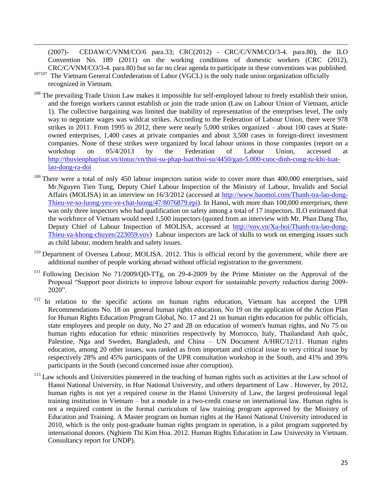(2007)- CEDAW/C/VNM/CO/6 para.33; CRC(2012) - CRC/C/VNM/CO/3-4. para.80), the ILO Convention No. 189 (2011) on the working conditions of domestic workers (CRC (2012), CRC/C/VNM/CO/3-4. para.80) but so far no clear agenda to participate in these conventions was published.

<sup>107107</sup> The Vietnam General Confederation of Labor (VGCL) is the only trade union organization officially recognized in Vietnam.

- <sup>108</sup> The prevailing Trade Union Law makes it impossible for self-employed labour to freely establish their union, and the foreign workers cannot establish or join the trade union (Law on Labour Union of Vietnam, article 1). The collective bargaining was limited due inability of representation of the enterprises level, The only way to negotiate wages was wildcat strikes. According to the Federation of Labour Union, there were 978 strikes in 2011. From 1995 to 2012, there were nearly 5,000 strikes organized – about 100 cases at Stateowned enterprises, 1,400 cases at private companies and about 3,500 cases in foreign-direct investment companies. None of these strikes were organized by local labour unions in those companies (report on a workshop on 05/4/2013 by the Federation of Labour Union, accessed at [http://thuvienphapluat.vn/tintuc/vn/thoi-su-phap-luat/thoi-su/4450/gan-5.000-cuoc-dinh-cong-tu-khi-luat](http://thuvienphapluat.vn/tintuc/vn/thoi-su-phap-luat/thoi-su/4450/gan-5.000-cuoc-dinh-cong-tu-khi-luat-lao-dong-ra-doi)[lao-dong-ra-doi](http://thuvienphapluat.vn/tintuc/vn/thoi-su-phap-luat/thoi-su/4450/gan-5.000-cuoc-dinh-cong-tu-khi-luat-lao-dong-ra-doi)
- <sup>109</sup> There were a total of only 450 labour inspectors nation wide to cover more than 400,000 enterprises, said Mr.Nguyen Tien Tung, Deputy Chief Labour Inspection of the Ministry of Labour, Invalids and Social Affairs (MOLISA) in an interview on 16/3/2012 (accessed at [http://www.baomoi.com/Thanh-tra-lao-dong-](http://www.baomoi.com/Thanh-tra-lao-dong-Thieu-ve-so-luong-yeu-ve-chat-luong/47/8076879.epi)[Thieu-ve-so-luong-yeu-ve-chat-luong/47/8076879.epi\)](http://www.baomoi.com/Thanh-tra-lao-dong-Thieu-ve-so-luong-yeu-ve-chat-luong/47/8076879.epi). In Hanoi, with more than 100,000 enterprises, there was only three inspectors who had qualification on safety among a total of 17 inspectors. ILO estimated that the workforce of Vietnam would need 1,500 inspectors (quoted from an interview with Mr. Phan Dang Tho, Deputy Chief of Labour Inspection of MOLISA, accessed at [http://vov.vn/Xa-hoi/Thanh-tra-lao-dong-](http://vov.vn/Xa-hoi/Thanh-tra-lao-dong-Thieu-va-khong-chuyen/223059.vov)[Thieu-va-khong-chuyen/223059.vov\)](http://vov.vn/Xa-hoi/Thanh-tra-lao-dong-Thieu-va-khong-chuyen/223059.vov) Labour inspectors are lack of skills to work on emerging issues such as child labour, modern health and safety issues.
- <sup>110</sup> Department of Oversea Labour, MOLISA. 2012. This is official record by the government, while there are additional number of people working abroad without official registration to the government.
- <sup>111</sup> Following Decision No 71/2009/QD-TTg, on 29-4-2009 by the Prime Minister on the Approval of the Proposal "Support poor districts to improve labour export for sustainable poverty reduction during 2009- 2020".
- <sup>112</sup> In relation to the specific actions on human rights education, Vietnam has accepted the UPR Recommendations No. 18 on general human rights education, No 19 on the application of the Action Plan for Human Rights Education Program Global, No. 17 and 21 on human rights education for public officials, state employees and people on duty, No 27 and 28 on education of women's human rights, and No 75 on human rights education for ethnic minorities respectively by Morrocco, Italy, Thailandand Anh quốc, Palestine, Nga and Sweden, Bangladesh, and China – UN Document A/HRC/12/11. Human rights education, among 20 other issues, was ranked as from important and critical issue to very critical issue by respectively 28% and 45% participants of the UPR consultation workshop in the South, and 41% and 39% participants in the South (second concerned issue after corruption).
- $113$  Law schools and Universities pioneered in the teaching of human rights such as activities at the Law school of Hanoi National University, in Hue National University, and others department of Law . However, by 2012, human rights is not yet a required course in the Hanoi University of Law, the largest professional legal training institution in Vietnam – but a module in a two-credit course on international law. Human rights is not a required content in the formal curriculum of law training program approved by the Ministry of Education and Training. A Master program on human rights at the Hanoi National University introduced in 2010, which is the only post-graduate human rights program in operation, is a pilot program supported by international donors. (Nghiem Thi Kim Hoa. 2012. Human Rights Education in Law University in Vietnam. Consultancy report for UNDP).